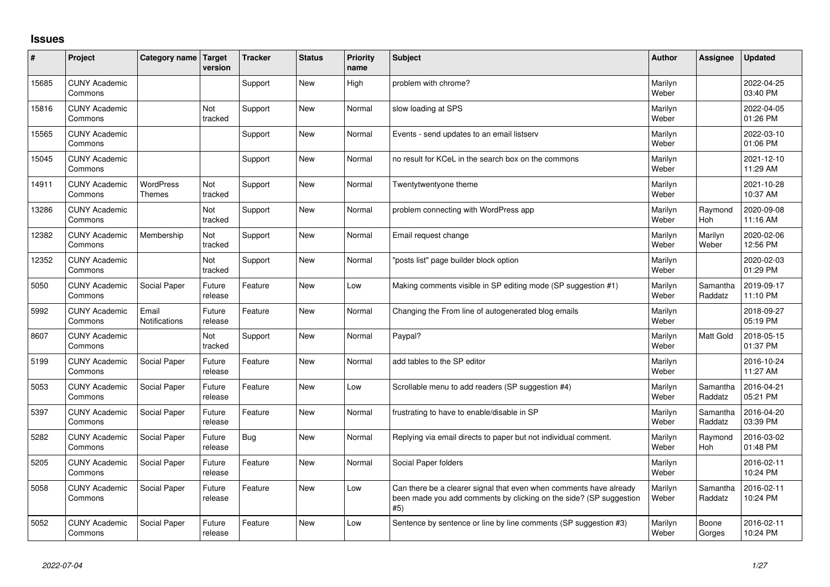## **Issues**

| ∦     | Project                         | Category name                     | Target<br>version     | <b>Tracker</b> | <b>Status</b> | Priority<br>name | <b>Subject</b>                                                                                                                                  | <b>Author</b>    | Assignee              | <b>Updated</b>         |
|-------|---------------------------------|-----------------------------------|-----------------------|----------------|---------------|------------------|-------------------------------------------------------------------------------------------------------------------------------------------------|------------------|-----------------------|------------------------|
| 15685 | <b>CUNY Academic</b><br>Commons |                                   |                       | Support        | <b>New</b>    | High             | problem with chrome?                                                                                                                            | Marilyn<br>Weber |                       | 2022-04-25<br>03:40 PM |
| 15816 | <b>CUNY Academic</b><br>Commons |                                   | <b>Not</b><br>tracked | Support        | <b>New</b>    | Normal           | slow loading at SPS                                                                                                                             | Marilyn<br>Weber |                       | 2022-04-05<br>01:26 PM |
| 15565 | <b>CUNY Academic</b><br>Commons |                                   |                       | Support        | <b>New</b>    | Normal           | Events - send updates to an email listserv                                                                                                      | Marilyn<br>Weber |                       | 2022-03-10<br>01:06 PM |
| 15045 | <b>CUNY Academic</b><br>Commons |                                   |                       | Support        | <b>New</b>    | Normal           | no result for KCeL in the search box on the commons                                                                                             | Marilyn<br>Weber |                       | 2021-12-10<br>11:29 AM |
| 14911 | <b>CUNY Academic</b><br>Commons | <b>WordPress</b><br><b>Themes</b> | Not<br>tracked        | Support        | <b>New</b>    | Normal           | Twentytwentyone theme                                                                                                                           | Marilyn<br>Weber |                       | 2021-10-28<br>10:37 AM |
| 13286 | <b>CUNY Academic</b><br>Commons |                                   | <b>Not</b><br>tracked | Support        | <b>New</b>    | Normal           | problem connecting with WordPress app                                                                                                           | Marilyn<br>Weber | Raymond<br><b>Hoh</b> | 2020-09-08<br>11:16 AM |
| 12382 | <b>CUNY Academic</b><br>Commons | Membership                        | Not<br>tracked        | Support        | <b>New</b>    | Normal           | Email request change                                                                                                                            | Marilyn<br>Weber | Marilyn<br>Weber      | 2020-02-06<br>12:56 PM |
| 12352 | <b>CUNY Academic</b><br>Commons |                                   | <b>Not</b><br>tracked | Support        | <b>New</b>    | Normal           | posts list" page builder block option                                                                                                           | Marilyn<br>Weber |                       | 2020-02-03<br>01:29 PM |
| 5050  | <b>CUNY Academic</b><br>Commons | Social Paper                      | Future<br>release     | Feature        | <b>New</b>    | Low              | Making comments visible in SP editing mode (SP suggestion #1)                                                                                   | Marilyn<br>Weber | Samantha<br>Raddatz   | 2019-09-17<br>11:10 PM |
| 5992  | <b>CUNY Academic</b><br>Commons | Email<br>Notifications            | Future<br>release     | Feature        | <b>New</b>    | Normal           | Changing the From line of autogenerated blog emails                                                                                             | Marilyn<br>Weber |                       | 2018-09-27<br>05:19 PM |
| 8607  | <b>CUNY Academic</b><br>Commons |                                   | Not<br>tracked        | Support        | <b>New</b>    | Normal           | Paypal?                                                                                                                                         | Marilyn<br>Weber | <b>Matt Gold</b>      | 2018-05-15<br>01:37 PM |
| 5199  | <b>CUNY Academic</b><br>Commons | Social Paper                      | Future<br>release     | Feature        | <b>New</b>    | Normal           | add tables to the SP editor                                                                                                                     | Marilyn<br>Weber |                       | 2016-10-24<br>11:27 AM |
| 5053  | <b>CUNY Academic</b><br>Commons | Social Paper                      | Future<br>release     | Feature        | <b>New</b>    | Low              | Scrollable menu to add readers (SP suggestion #4)                                                                                               | Marilyn<br>Weber | Samantha<br>Raddatz   | 2016-04-21<br>05:21 PM |
| 5397  | <b>CUNY Academic</b><br>Commons | Social Paper                      | Future<br>release     | Feature        | <b>New</b>    | Normal           | frustrating to have to enable/disable in SP                                                                                                     | Marilyn<br>Weber | Samantha<br>Raddatz   | 2016-04-20<br>03:39 PM |
| 5282  | <b>CUNY Academic</b><br>Commons | Social Paper                      | Future<br>release     | Bug            | <b>New</b>    | Normal           | Replying via email directs to paper but not individual comment.                                                                                 | Marilyn<br>Weber | Raymond<br>Hoh        | 2016-03-02<br>01:48 PM |
| 5205  | <b>CUNY Academic</b><br>Commons | Social Paper                      | Future<br>release     | Feature        | <b>New</b>    | Normal           | Social Paper folders                                                                                                                            | Marilyn<br>Weber |                       | 2016-02-11<br>10:24 PM |
| 5058  | <b>CUNY Academic</b><br>Commons | Social Paper                      | Future<br>release     | Feature        | <b>New</b>    | Low              | Can there be a clearer signal that even when comments have already<br>been made you add comments by clicking on the side? (SP suggestion<br>#5) | Marilyn<br>Weber | Samantha<br>Raddatz   | 2016-02-11<br>10:24 PM |
| 5052  | <b>CUNY Academic</b><br>Commons | Social Paper                      | Future<br>release     | Feature        | <b>New</b>    | Low              | Sentence by sentence or line by line comments (SP suggestion #3)                                                                                | Marilyn<br>Weber | Boone<br>Gorges       | 2016-02-11<br>10:24 PM |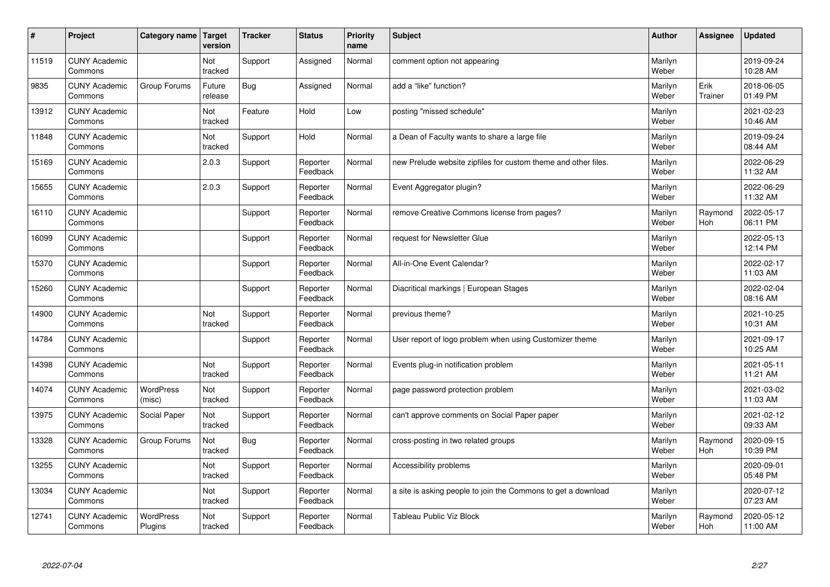| #     | Project                         | Category name   Target      | version           | <b>Tracker</b> | <b>Status</b>        | <b>Priority</b><br>name | <b>Subject</b>                                                 | <b>Author</b>    | Assignee              | <b>Updated</b>         |
|-------|---------------------------------|-----------------------------|-------------------|----------------|----------------------|-------------------------|----------------------------------------------------------------|------------------|-----------------------|------------------------|
| 11519 | <b>CUNY Academic</b><br>Commons |                             | Not<br>tracked    | Support        | Assigned             | Normal                  | comment option not appearing                                   | Marilyn<br>Weber |                       | 2019-09-24<br>10:28 AM |
| 9835  | <b>CUNY Academic</b><br>Commons | Group Forums                | Future<br>release | Bug            | Assigned             | Normal                  | add a "like" function?                                         | Marilyn<br>Weber | Erik<br>Trainer       | 2018-06-05<br>01:49 PM |
| 13912 | <b>CUNY Academic</b><br>Commons |                             | Not<br>tracked    | Feature        | Hold                 | Low                     | posting "missed schedule"                                      | Marilyn<br>Weber |                       | 2021-02-23<br>10:46 AM |
| 11848 | <b>CUNY Academic</b><br>Commons |                             | Not<br>tracked    | Support        | Hold                 | Normal                  | a Dean of Faculty wants to share a large file                  | Marilyn<br>Weber |                       | 2019-09-24<br>08:44 AM |
| 15169 | <b>CUNY Academic</b><br>Commons |                             | 2.0.3             | Support        | Reporter<br>Feedback | Normal                  | new Prelude website zipfiles for custom theme and other files. | Marilyn<br>Weber |                       | 2022-06-29<br>11:32 AM |
| 15655 | <b>CUNY Academic</b><br>Commons |                             | 2.0.3             | Support        | Reporter<br>Feedback | Normal                  | Event Aggregator plugin?                                       | Marilyn<br>Weber |                       | 2022-06-29<br>11:32 AM |
| 16110 | <b>CUNY Academic</b><br>Commons |                             |                   | Support        | Reporter<br>Feedback | Normal                  | remove Creative Commons license from pages?                    | Marilyn<br>Weber | Raymond<br>Hoh        | 2022-05-17<br>06:11 PM |
| 16099 | <b>CUNY Academic</b><br>Commons |                             |                   | Support        | Reporter<br>Feedback | Normal                  | request for Newsletter Glue                                    | Marilyn<br>Weber |                       | 2022-05-13<br>12:14 PM |
| 15370 | <b>CUNY Academic</b><br>Commons |                             |                   | Support        | Reporter<br>Feedback | Normal                  | All-in-One Event Calendar?                                     | Marilyn<br>Weber |                       | 2022-02-17<br>11:03 AM |
| 15260 | <b>CUNY Academic</b><br>Commons |                             |                   | Support        | Reporter<br>Feedback | Normal                  | Diacritical markings   European Stages                         | Marilyn<br>Weber |                       | 2022-02-04<br>08:16 AM |
| 14900 | <b>CUNY Academic</b><br>Commons |                             | Not<br>tracked    | Support        | Reporter<br>Feedback | Normal                  | previous theme?                                                | Marilyn<br>Weber |                       | 2021-10-25<br>10:31 AM |
| 14784 | <b>CUNY Academic</b><br>Commons |                             |                   | Support        | Reporter<br>Feedback | Normal                  | User report of logo problem when using Customizer theme        | Marilyn<br>Weber |                       | 2021-09-17<br>10:25 AM |
| 14398 | <b>CUNY Academic</b><br>Commons |                             | Not<br>tracked    | Support        | Reporter<br>Feedback | Normal                  | Events plug-in notification problem                            | Marilyn<br>Weber |                       | 2021-05-11<br>11:21 AM |
| 14074 | <b>CUNY Academic</b><br>Commons | WordPress<br>(misc)         | Not<br>tracked    | Support        | Reporter<br>Feedback | Normal                  | page password protection problem                               | Marilyn<br>Weber |                       | 2021-03-02<br>11:03 AM |
| 13975 | <b>CUNY Academic</b><br>Commons | Social Paper                | Not<br>tracked    | Support        | Reporter<br>Feedback | Normal                  | can't approve comments on Social Paper paper                   | Marilyn<br>Weber |                       | 2021-02-12<br>09:33 AM |
| 13328 | <b>CUNY Academic</b><br>Commons | Group Forums                | Not<br>tracked    | Bug            | Reporter<br>Feedback | Normal                  | cross-posting in two related groups                            | Marilyn<br>Weber | Raymond<br><b>Hoh</b> | 2020-09-15<br>10:39 PM |
| 13255 | <b>CUNY Academic</b><br>Commons |                             | Not<br>tracked    | Support        | Reporter<br>Feedback | Normal                  | Accessibility problems                                         | Marilyn<br>Weber |                       | 2020-09-01<br>05:48 PM |
| 13034 | <b>CUNY Academic</b><br>Commons |                             | Not<br>tracked    | Support        | Reporter<br>Feedback | Normal                  | a site is asking people to join the Commons to get a download  | Marilyn<br>Weber |                       | 2020-07-12<br>07:23 AM |
| 12741 | <b>CUNY Academic</b><br>Commons | <b>WordPress</b><br>Plugins | Not<br>tracked    | Support        | Reporter<br>Feedback | Normal                  | Tableau Public Viz Block                                       | Marilyn<br>Weber | Raymond<br>Hoh        | 2020-05-12<br>11:00 AM |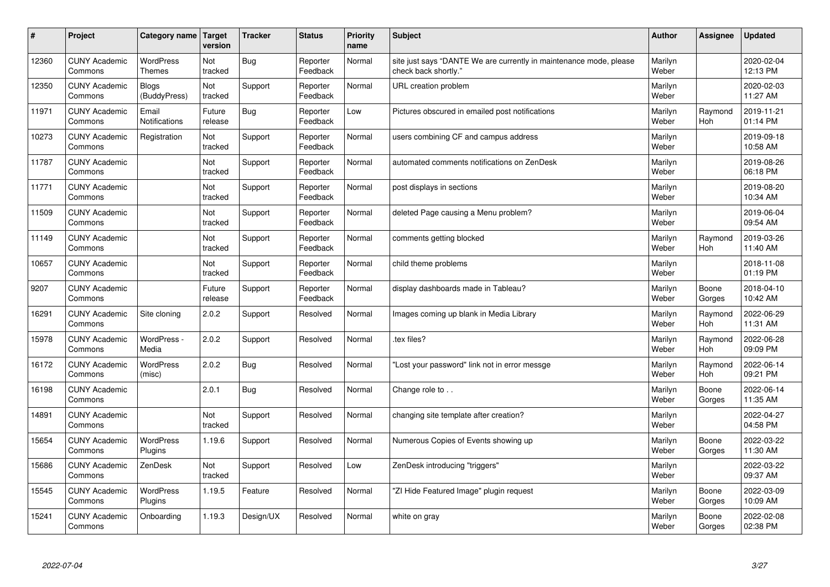| #     | Project                         | Category name   Target            | version           | <b>Tracker</b> | <b>Status</b>        | Priority<br>name | <b>Subject</b>                                                                             | <b>Author</b>    | <b>Assignee</b>       | <b>Updated</b>         |
|-------|---------------------------------|-----------------------------------|-------------------|----------------|----------------------|------------------|--------------------------------------------------------------------------------------------|------------------|-----------------------|------------------------|
| 12360 | <b>CUNY Academic</b><br>Commons | <b>WordPress</b><br><b>Themes</b> | Not<br>tracked    | Bug            | Reporter<br>Feedback | Normal           | site just says "DANTE We are currently in maintenance mode, please<br>check back shortly." | Marilyn<br>Weber |                       | 2020-02-04<br>12:13 PM |
| 12350 | <b>CUNY Academic</b><br>Commons | Blogs<br>(BuddyPress)             | Not<br>tracked    | Support        | Reporter<br>Feedback | Normal           | URL creation problem                                                                       | Marilyn<br>Weber |                       | 2020-02-03<br>11:27 AM |
| 11971 | <b>CUNY Academic</b><br>Commons | Email<br><b>Notifications</b>     | Future<br>release | Bug            | Reporter<br>Feedback | Low              | Pictures obscured in emailed post notifications                                            | Marilyn<br>Weber | Raymond<br><b>Hoh</b> | 2019-11-21<br>01:14 PM |
| 10273 | <b>CUNY Academic</b><br>Commons | Registration                      | Not<br>tracked    | Support        | Reporter<br>Feedback | Normal           | users combining CF and campus address                                                      | Marilyn<br>Weber |                       | 2019-09-18<br>10:58 AM |
| 11787 | <b>CUNY Academic</b><br>Commons |                                   | Not<br>tracked    | Support        | Reporter<br>Feedback | Normal           | automated comments notifications on ZenDesk                                                | Marilyn<br>Weber |                       | 2019-08-26<br>06:18 PM |
| 11771 | <b>CUNY Academic</b><br>Commons |                                   | Not<br>tracked    | Support        | Reporter<br>Feedback | Normal           | post displays in sections                                                                  | Marilyn<br>Weber |                       | 2019-08-20<br>10:34 AM |
| 11509 | <b>CUNY Academic</b><br>Commons |                                   | Not<br>tracked    | Support        | Reporter<br>Feedback | Normal           | deleted Page causing a Menu problem?                                                       | Marilyn<br>Weber |                       | 2019-06-04<br>09:54 AM |
| 11149 | <b>CUNY Academic</b><br>Commons |                                   | Not<br>tracked    | Support        | Reporter<br>Feedback | Normal           | comments getting blocked                                                                   | Marilyn<br>Weber | Raymond<br>Hoh        | 2019-03-26<br>11:40 AM |
| 10657 | <b>CUNY Academic</b><br>Commons |                                   | Not<br>tracked    | Support        | Reporter<br>Feedback | Normal           | child theme problems                                                                       | Marilyn<br>Weber |                       | 2018-11-08<br>01:19 PM |
| 9207  | <b>CUNY Academic</b><br>Commons |                                   | Future<br>release | Support        | Reporter<br>Feedback | Normal           | display dashboards made in Tableau?                                                        | Marilyn<br>Weber | Boone<br>Gorges       | 2018-04-10<br>10:42 AM |
| 16291 | <b>CUNY Academic</b><br>Commons | Site cloning                      | 2.0.2             | Support        | Resolved             | Normal           | Images coming up blank in Media Library                                                    | Marilyn<br>Weber | Raymond<br><b>Hoh</b> | 2022-06-29<br>11:31 AM |
| 15978 | <b>CUNY Academic</b><br>Commons | WordPress -<br>Media              | 2.0.2             | Support        | Resolved             | Normal           | tex files?                                                                                 | Marilyn<br>Weber | Raymond<br><b>Hoh</b> | 2022-06-28<br>09:09 PM |
| 16172 | <b>CUNY Academic</b><br>Commons | <b>WordPress</b><br>(misc)        | 2.0.2             | <b>Bug</b>     | Resolved             | Normal           | 'Lost your password" link not in error messge                                              | Marilyn<br>Weber | Raymond<br>Hoh        | 2022-06-14<br>09:21 PM |
| 16198 | <b>CUNY Academic</b><br>Commons |                                   | 2.0.1             | <b>Bug</b>     | Resolved             | Normal           | Change role to                                                                             | Marilyn<br>Weber | Boone<br>Gorges       | 2022-06-14<br>11:35 AM |
| 14891 | <b>CUNY Academic</b><br>Commons |                                   | Not<br>tracked    | Support        | Resolved             | Normal           | changing site template after creation?                                                     | Marilyn<br>Weber |                       | 2022-04-27<br>04:58 PM |
| 15654 | <b>CUNY Academic</b><br>Commons | WordPress<br>Plugins              | 1.19.6            | Support        | Resolved             | Normal           | Numerous Copies of Events showing up                                                       | Marilyn<br>Weber | Boone<br>Gorges       | 2022-03-22<br>11:30 AM |
| 15686 | <b>CUNY Academic</b><br>Commons | ZenDesk                           | Not<br>tracked    | Support        | Resolved             | Low              | ZenDesk introducing "triggers"                                                             | Marilyn<br>Weber |                       | 2022-03-22<br>09:37 AM |
| 15545 | <b>CUNY Academic</b><br>Commons | WordPress<br>Plugins              | 1.19.5            | Feature        | Resolved             | Normal           | "ZI Hide Featured Image" plugin request                                                    | Marilyn<br>Weber | Boone<br>Gorges       | 2022-03-09<br>10:09 AM |
| 15241 | <b>CUNY Academic</b><br>Commons | Onboarding                        | 1.19.3            | Design/UX      | Resolved             | Normal           | white on gray                                                                              | Marilyn<br>Weber | Boone<br>Gorges       | 2022-02-08<br>02:38 PM |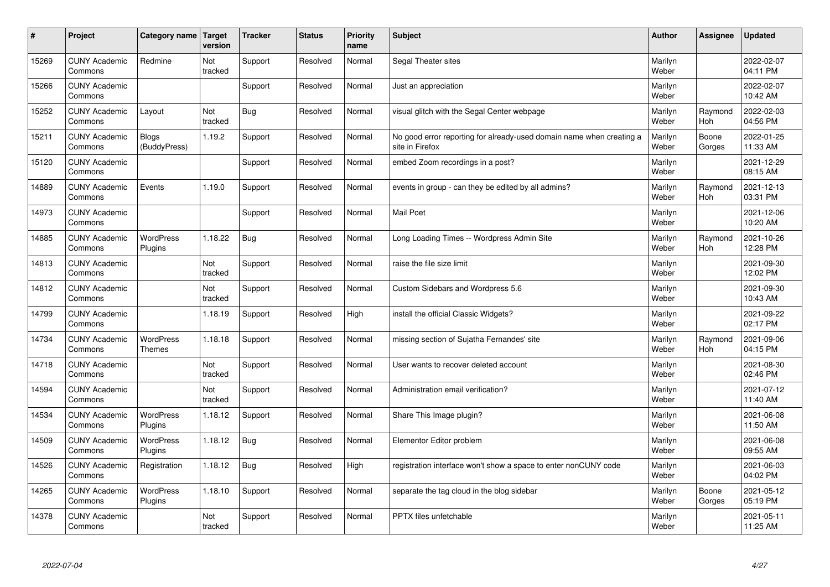| #     | Project                         | Category name   Target      | version        | <b>Tracker</b> | <b>Status</b> | <b>Priority</b><br>name | <b>Subject</b>                                                                          | <b>Author</b>    | Assignee              | <b>Updated</b>         |
|-------|---------------------------------|-----------------------------|----------------|----------------|---------------|-------------------------|-----------------------------------------------------------------------------------------|------------------|-----------------------|------------------------|
| 15269 | <b>CUNY Academic</b><br>Commons | Redmine                     | Not<br>tracked | Support        | Resolved      | Normal                  | Segal Theater sites                                                                     | Marilyn<br>Weber |                       | 2022-02-07<br>04:11 PM |
| 15266 | <b>CUNY Academic</b><br>Commons |                             |                | Support        | Resolved      | Normal                  | Just an appreciation                                                                    | Marilyn<br>Weber |                       | 2022-02-07<br>10:42 AM |
| 15252 | <b>CUNY Academic</b><br>Commons | Layout                      | Not<br>tracked | Bug            | Resolved      | Normal                  | visual glitch with the Segal Center webpage                                             | Marilyn<br>Weber | Raymond<br>Hoh        | 2022-02-03<br>04:56 PM |
| 15211 | <b>CUNY Academic</b><br>Commons | Blogs<br>(BuddyPress)       | 1.19.2         | Support        | Resolved      | Normal                  | No good error reporting for already-used domain name when creating a<br>site in Firefox | Marilyn<br>Weber | Boone<br>Gorges       | 2022-01-25<br>11:33 AM |
| 15120 | <b>CUNY Academic</b><br>Commons |                             |                | Support        | Resolved      | Normal                  | embed Zoom recordings in a post?                                                        | Marilyn<br>Weber |                       | 2021-12-29<br>08:15 AM |
| 14889 | <b>CUNY Academic</b><br>Commons | Events                      | 1.19.0         | Support        | Resolved      | Normal                  | events in group - can they be edited by all admins?                                     | Marilyn<br>Weber | Raymond<br>Hoh        | 2021-12-13<br>03:31 PM |
| 14973 | <b>CUNY Academic</b><br>Commons |                             |                | Support        | Resolved      | Normal                  | <b>Mail Poet</b>                                                                        | Marilyn<br>Weber |                       | 2021-12-06<br>10:20 AM |
| 14885 | <b>CUNY Academic</b><br>Commons | WordPress<br>Plugins        | 1.18.22        | Bug            | Resolved      | Normal                  | Long Loading Times -- Wordpress Admin Site                                              | Marilyn<br>Weber | Raymond<br>Hoh        | 2021-10-26<br>12:28 PM |
| 14813 | <b>CUNY Academic</b><br>Commons |                             | Not<br>tracked | Support        | Resolved      | Normal                  | raise the file size limit                                                               | Marilyn<br>Weber |                       | 2021-09-30<br>12:02 PM |
| 14812 | <b>CUNY Academic</b><br>Commons |                             | Not<br>tracked | Support        | Resolved      | Normal                  | Custom Sidebars and Wordpress 5.6                                                       | Marilyn<br>Weber |                       | 2021-09-30<br>10:43 AM |
| 14799 | <b>CUNY Academic</b><br>Commons |                             | 1.18.19        | Support        | Resolved      | High                    | install the official Classic Widgets?                                                   | Marilyn<br>Weber |                       | 2021-09-22<br>02:17 PM |
| 14734 | <b>CUNY Academic</b><br>Commons | <b>WordPress</b><br>Themes  | 1.18.18        | Support        | Resolved      | Normal                  | missing section of Sujatha Fernandes' site                                              | Marilyn<br>Weber | Raymond<br><b>Hoh</b> | 2021-09-06<br>04:15 PM |
| 14718 | <b>CUNY Academic</b><br>Commons |                             | Not<br>tracked | Support        | Resolved      | Normal                  | User wants to recover deleted account                                                   | Marilyn<br>Weber |                       | 2021-08-30<br>02:46 PM |
| 14594 | <b>CUNY Academic</b><br>Commons |                             | Not<br>tracked | Support        | Resolved      | Normal                  | Administration email verification?                                                      | Marilyn<br>Weber |                       | 2021-07-12<br>11:40 AM |
| 14534 | <b>CUNY Academic</b><br>Commons | WordPress<br>Plugins        | 1.18.12        | Support        | Resolved      | Normal                  | Share This Image plugin?                                                                | Marilyn<br>Weber |                       | 2021-06-08<br>11:50 AM |
| 14509 | <b>CUNY Academic</b><br>Commons | <b>WordPress</b><br>Plugins | 1.18.12        | <b>Bug</b>     | Resolved      | Normal                  | Elementor Editor problem                                                                | Marilyn<br>Weber |                       | 2021-06-08<br>09:55 AM |
| 14526 | <b>CUNY Academic</b><br>Commons | Registration                | 1.18.12        | Bug            | Resolved      | High                    | registration interface won't show a space to enter nonCUNY code                         | Marilyn<br>Weber |                       | 2021-06-03<br>04:02 PM |
| 14265 | <b>CUNY Academic</b><br>Commons | <b>WordPress</b><br>Plugins | 1.18.10        | Support        | Resolved      | Normal                  | separate the tag cloud in the blog sidebar                                              | Marilyn<br>Weber | Boone<br>Gorges       | 2021-05-12<br>05:19 PM |
| 14378 | <b>CUNY Academic</b><br>Commons |                             | Not<br>tracked | Support        | Resolved      | Normal                  | <b>PPTX</b> files unfetchable                                                           | Marilyn<br>Weber |                       | 2021-05-11<br>11:25 AM |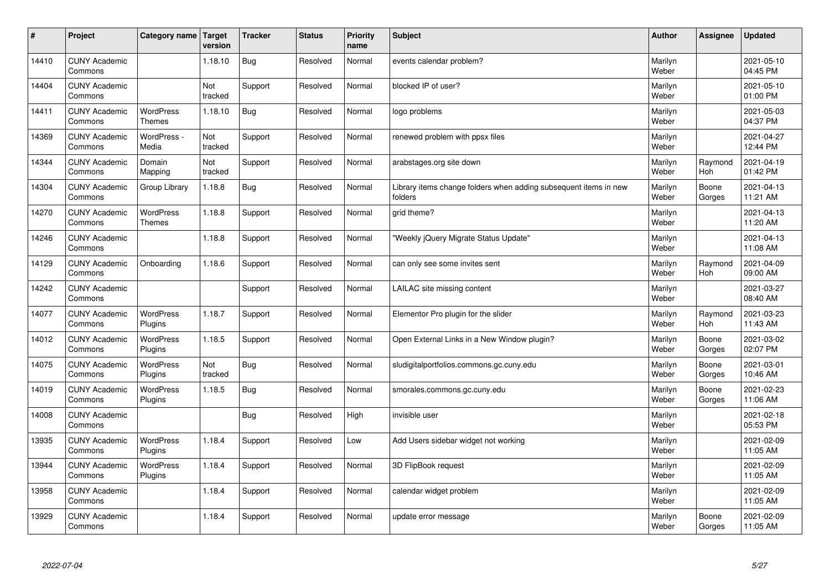| $\sharp$ | Project                         | Category name   Target            | version        | <b>Tracker</b> | <b>Status</b> | <b>Priority</b><br>name | <b>Subject</b>                                                              | <b>Author</b>    | Assignee        | <b>Updated</b>         |
|----------|---------------------------------|-----------------------------------|----------------|----------------|---------------|-------------------------|-----------------------------------------------------------------------------|------------------|-----------------|------------------------|
| 14410    | <b>CUNY Academic</b><br>Commons |                                   | 1.18.10        | Bug            | Resolved      | Normal                  | events calendar problem?                                                    | Marilyn<br>Weber |                 | 2021-05-10<br>04:45 PM |
| 14404    | <b>CUNY Academic</b><br>Commons |                                   | Not<br>tracked | Support        | Resolved      | Normal                  | blocked IP of user?                                                         | Marilyn<br>Weber |                 | 2021-05-10<br>01:00 PM |
| 14411    | <b>CUNY Academic</b><br>Commons | <b>WordPress</b><br><b>Themes</b> | 1.18.10        | <b>Bug</b>     | Resolved      | Normal                  | logo problems                                                               | Marilyn<br>Weber |                 | 2021-05-03<br>04:37 PM |
| 14369    | <b>CUNY Academic</b><br>Commons | WordPress -<br>Media              | Not<br>tracked | Support        | Resolved      | Normal                  | renewed problem with ppsx files                                             | Marilyn<br>Weber |                 | 2021-04-27<br>12:44 PM |
| 14344    | <b>CUNY Academic</b><br>Commons | Domain<br>Mapping                 | Not<br>tracked | Support        | Resolved      | Normal                  | arabstages.org site down                                                    | Marilyn<br>Weber | Raymond<br>Hoh  | 2021-04-19<br>01:42 PM |
| 14304    | <b>CUNY Academic</b><br>Commons | Group Library                     | 1.18.8         | <b>Bug</b>     | Resolved      | Normal                  | Library items change folders when adding subsequent items in new<br>folders | Marilyn<br>Weber | Boone<br>Gorges | 2021-04-13<br>11:21 AM |
| 14270    | <b>CUNY Academic</b><br>Commons | <b>WordPress</b><br><b>Themes</b> | 1.18.8         | Support        | Resolved      | Normal                  | grid theme?                                                                 | Marilyn<br>Weber |                 | 2021-04-13<br>11:20 AM |
| 14246    | <b>CUNY Academic</b><br>Commons |                                   | 1.18.8         | Support        | Resolved      | Normal                  | 'Weekly jQuery Migrate Status Update"                                       | Marilyn<br>Weber |                 | 2021-04-13<br>11:08 AM |
| 14129    | <b>CUNY Academic</b><br>Commons | Onboarding                        | 1.18.6         | Support        | Resolved      | Normal                  | can only see some invites sent                                              | Marilyn<br>Weber | Raymond<br>Hoh  | 2021-04-09<br>09:00 AM |
| 14242    | <b>CUNY Academic</b><br>Commons |                                   |                | Support        | Resolved      | Normal                  | LAILAC site missing content                                                 | Marilyn<br>Weber |                 | 2021-03-27<br>08:40 AM |
| 14077    | <b>CUNY Academic</b><br>Commons | <b>WordPress</b><br>Plugins       | 1.18.7         | Support        | Resolved      | Normal                  | Elementor Pro plugin for the slider                                         | Marilyn<br>Weber | Raymond<br>Hoh  | 2021-03-23<br>11:43 AM |
| 14012    | <b>CUNY Academic</b><br>Commons | <b>WordPress</b><br>Plugins       | 1.18.5         | Support        | Resolved      | Normal                  | Open External Links in a New Window plugin?                                 | Marilyn<br>Weber | Boone<br>Gorges | 2021-03-02<br>02:07 PM |
| 14075    | <b>CUNY Academic</b><br>Commons | <b>WordPress</b><br>Plugins       | Not<br>tracked | Bug            | Resolved      | Normal                  | sludigitalportfolios.commons.gc.cuny.edu                                    | Marilyn<br>Weber | Boone<br>Gorges | 2021-03-01<br>10:46 AM |
| 14019    | <b>CUNY Academic</b><br>Commons | <b>WordPress</b><br>Plugins       | 1.18.5         | Bug            | Resolved      | Normal                  | smorales.commons.gc.cuny.edu                                                | Marilyn<br>Weber | Boone<br>Gorges | 2021-02-23<br>11:06 AM |
| 14008    | <b>CUNY Academic</b><br>Commons |                                   |                | Bug            | Resolved      | High                    | invisible user                                                              | Marilyn<br>Weber |                 | 2021-02-18<br>05:53 PM |
| 13935    | <b>CUNY Academic</b><br>Commons | <b>WordPress</b><br>Plugins       | 1.18.4         | Support        | Resolved      | Low                     | Add Users sidebar widget not working                                        | Marilyn<br>Weber |                 | 2021-02-09<br>11:05 AM |
| 13944    | <b>CUNY Academic</b><br>Commons | WordPress<br>Plugins              | 1.18.4         | Support        | Resolved      | Normal                  | 3D FlipBook request                                                         | Marilyn<br>Weber |                 | 2021-02-09<br>11:05 AM |
| 13958    | <b>CUNY Academic</b><br>Commons |                                   | 1.18.4         | Support        | Resolved      | Normal                  | calendar widget problem                                                     | Marilyn<br>Weber |                 | 2021-02-09<br>11:05 AM |
| 13929    | <b>CUNY Academic</b><br>Commons |                                   | 1.18.4         | Support        | Resolved      | Normal                  | update error message                                                        | Marilyn<br>Weber | Boone<br>Gorges | 2021-02-09<br>11:05 AM |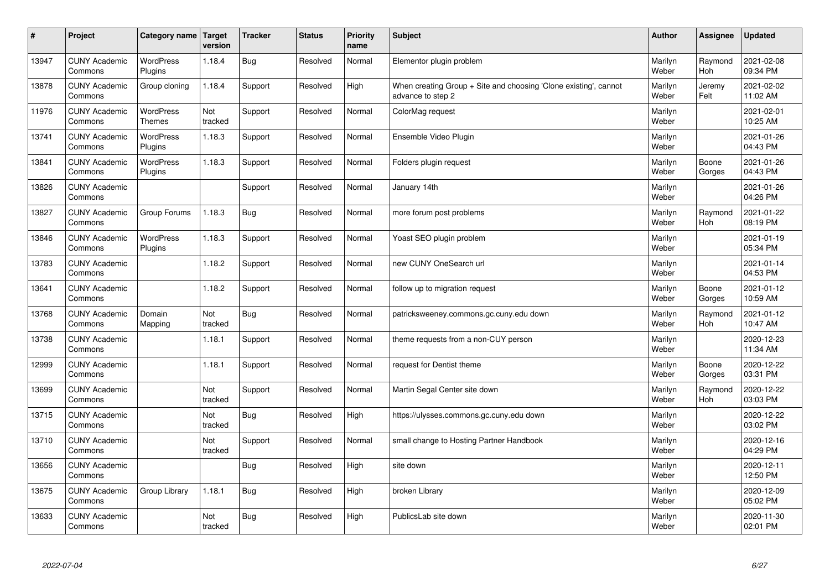| #     | Project                         | Category name   Target      | version        | <b>Tracker</b> | <b>Status</b> | Priority<br>name | <b>Subject</b>                                                                        | <b>Author</b>    | <b>Assignee</b>       | <b>Updated</b>         |
|-------|---------------------------------|-----------------------------|----------------|----------------|---------------|------------------|---------------------------------------------------------------------------------------|------------------|-----------------------|------------------------|
| 13947 | <b>CUNY Academic</b><br>Commons | <b>WordPress</b><br>Plugins | 1.18.4         | Bug            | Resolved      | Normal           | Elementor plugin problem                                                              | Marilyn<br>Weber | Raymond<br>Hoh        | 2021-02-08<br>09:34 PM |
| 13878 | <b>CUNY Academic</b><br>Commons | Group cloning               | 1.18.4         | Support        | Resolved      | High             | When creating Group + Site and choosing 'Clone existing', cannot<br>advance to step 2 | Marilyn<br>Weber | Jeremy<br>Felt        | 2021-02-02<br>11:02 AM |
| 11976 | <b>CUNY Academic</b><br>Commons | WordPress<br><b>Themes</b>  | Not<br>tracked | Support        | Resolved      | Normal           | ColorMag request                                                                      | Marilyn<br>Weber |                       | 2021-02-01<br>10:25 AM |
| 13741 | <b>CUNY Academic</b><br>Commons | <b>WordPress</b><br>Plugins | 1.18.3         | Support        | Resolved      | Normal           | Ensemble Video Plugin                                                                 | Marilyn<br>Weber |                       | 2021-01-26<br>04:43 PM |
| 13841 | <b>CUNY Academic</b><br>Commons | <b>WordPress</b><br>Plugins | 1.18.3         | Support        | Resolved      | Normal           | Folders plugin request                                                                | Marilyn<br>Weber | Boone<br>Gorges       | 2021-01-26<br>04:43 PM |
| 13826 | <b>CUNY Academic</b><br>Commons |                             |                | Support        | Resolved      | Normal           | January 14th                                                                          | Marilyn<br>Weber |                       | 2021-01-26<br>04:26 PM |
| 13827 | <b>CUNY Academic</b><br>Commons | Group Forums                | 1.18.3         | <b>Bug</b>     | Resolved      | Normal           | more forum post problems                                                              | Marilyn<br>Weber | Raymond<br><b>Hoh</b> | 2021-01-22<br>08:19 PM |
| 13846 | <b>CUNY Academic</b><br>Commons | <b>WordPress</b><br>Plugins | 1.18.3         | Support        | Resolved      | Normal           | Yoast SEO plugin problem                                                              | Marilyn<br>Weber |                       | 2021-01-19<br>05:34 PM |
| 13783 | <b>CUNY Academic</b><br>Commons |                             | 1.18.2         | Support        | Resolved      | Normal           | new CUNY OneSearch url                                                                | Marilyn<br>Weber |                       | 2021-01-14<br>04:53 PM |
| 13641 | <b>CUNY Academic</b><br>Commons |                             | 1.18.2         | Support        | Resolved      | Normal           | follow up to migration request                                                        | Marilyn<br>Weber | Boone<br>Gorges       | 2021-01-12<br>10:59 AM |
| 13768 | <b>CUNY Academic</b><br>Commons | Domain<br>Mapping           | Not<br>tracked | Bug            | Resolved      | Normal           | patricksweeney.commons.gc.cuny.edu down                                               | Marilyn<br>Weber | Raymond<br>Hoh        | 2021-01-12<br>10:47 AM |
| 13738 | <b>CUNY Academic</b><br>Commons |                             | 1.18.1         | Support        | Resolved      | Normal           | theme requests from a non-CUY person                                                  | Marilyn<br>Weber |                       | 2020-12-23<br>11:34 AM |
| 12999 | <b>CUNY Academic</b><br>Commons |                             | 1.18.1         | Support        | Resolved      | Normal           | request for Dentist theme                                                             | Marilyn<br>Weber | Boone<br>Gorges       | 2020-12-22<br>03:31 PM |
| 13699 | <b>CUNY Academic</b><br>Commons |                             | Not<br>tracked | Support        | Resolved      | Normal           | Martin Segal Center site down                                                         | Marilyn<br>Weber | Raymond<br>Hoh        | 2020-12-22<br>03:03 PM |
| 13715 | <b>CUNY Academic</b><br>Commons |                             | Not<br>tracked | Bug            | Resolved      | High             | https://ulysses.commons.gc.cuny.edu down                                              | Marilyn<br>Weber |                       | 2020-12-22<br>03:02 PM |
| 13710 | <b>CUNY Academic</b><br>Commons |                             | Not<br>tracked | Support        | Resolved      | Normal           | small change to Hosting Partner Handbook                                              | Marilyn<br>Weber |                       | 2020-12-16<br>04:29 PM |
| 13656 | <b>CUNY Academic</b><br>Commons |                             |                | Bug            | Resolved      | High             | site down                                                                             | Marilyn<br>Weber |                       | 2020-12-11<br>12:50 PM |
| 13675 | <b>CUNY Academic</b><br>Commons | Group Library               | 1.18.1         | <b>Bug</b>     | Resolved      | High             | broken Library                                                                        | Marilyn<br>Weber |                       | 2020-12-09<br>05:02 PM |
| 13633 | <b>CUNY Academic</b><br>Commons |                             | Not<br>tracked | Bug            | Resolved      | High             | PublicsLab site down                                                                  | Marilyn<br>Weber |                       | 2020-11-30<br>02:01 PM |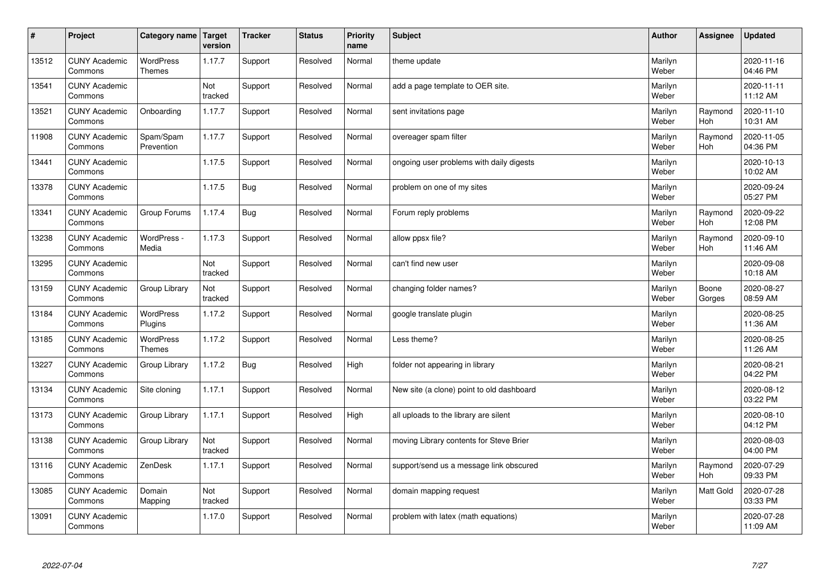| $\sharp$ | Project                         | Category name   Target            | version        | <b>Tracker</b> | <b>Status</b> | <b>Priority</b><br>name | <b>Subject</b>                            | <b>Author</b>    | Assignee        | <b>Updated</b>         |
|----------|---------------------------------|-----------------------------------|----------------|----------------|---------------|-------------------------|-------------------------------------------|------------------|-----------------|------------------------|
| 13512    | <b>CUNY Academic</b><br>Commons | <b>WordPress</b><br><b>Themes</b> | 1.17.7         | Support        | Resolved      | Normal                  | theme update                              | Marilyn<br>Weber |                 | 2020-11-16<br>04:46 PM |
| 13541    | <b>CUNY Academic</b><br>Commons |                                   | Not<br>tracked | Support        | Resolved      | Normal                  | add a page template to OER site.          | Marilyn<br>Weber |                 | 2020-11-11<br>11:12 AM |
| 13521    | <b>CUNY Academic</b><br>Commons | Onboarding                        | 1.17.7         | Support        | Resolved      | Normal                  | sent invitations page                     | Marilyn<br>Weber | Raymond<br>Hoh  | 2020-11-10<br>10:31 AM |
| 11908    | <b>CUNY Academic</b><br>Commons | Spam/Spam<br>Prevention           | 1.17.7         | Support        | Resolved      | Normal                  | overeager spam filter                     | Marilyn<br>Weber | Raymond<br>Hoh  | 2020-11-05<br>04:36 PM |
| 13441    | <b>CUNY Academic</b><br>Commons |                                   | 1.17.5         | Support        | Resolved      | Normal                  | ongoing user problems with daily digests  | Marilyn<br>Weber |                 | 2020-10-13<br>10:02 AM |
| 13378    | <b>CUNY Academic</b><br>Commons |                                   | 1.17.5         | <b>Bug</b>     | Resolved      | Normal                  | problem on one of my sites                | Marilyn<br>Weber |                 | 2020-09-24<br>05:27 PM |
| 13341    | <b>CUNY Academic</b><br>Commons | Group Forums                      | 1.17.4         | Bug            | Resolved      | Normal                  | Forum reply problems                      | Marilyn<br>Weber | Raymond<br>Hoh  | 2020-09-22<br>12:08 PM |
| 13238    | <b>CUNY Academic</b><br>Commons | WordPress -<br>Media              | 1.17.3         | Support        | Resolved      | Normal                  | allow ppsx file?                          | Marilyn<br>Weber | Raymond<br>Hoh  | 2020-09-10<br>11:46 AM |
| 13295    | <b>CUNY Academic</b><br>Commons |                                   | Not<br>tracked | Support        | Resolved      | Normal                  | can't find new user                       | Marilyn<br>Weber |                 | 2020-09-08<br>10:18 AM |
| 13159    | <b>CUNY Academic</b><br>Commons | Group Library                     | Not<br>tracked | Support        | Resolved      | Normal                  | changing folder names?                    | Marilyn<br>Weber | Boone<br>Gorges | 2020-08-27<br>08:59 AM |
| 13184    | <b>CUNY Academic</b><br>Commons | <b>WordPress</b><br>Plugins       | 1.17.2         | Support        | Resolved      | Normal                  | google translate plugin                   | Marilyn<br>Weber |                 | 2020-08-25<br>11:36 AM |
| 13185    | <b>CUNY Academic</b><br>Commons | <b>WordPress</b><br><b>Themes</b> | 1.17.2         | Support        | Resolved      | Normal                  | Less theme?                               | Marilyn<br>Weber |                 | 2020-08-25<br>11:26 AM |
| 13227    | <b>CUNY Academic</b><br>Commons | Group Library                     | 1.17.2         | Bug            | Resolved      | High                    | folder not appearing in library           | Marilyn<br>Weber |                 | 2020-08-21<br>04:22 PM |
| 13134    | <b>CUNY Academic</b><br>Commons | Site cloning                      | 1.17.1         | Support        | Resolved      | Normal                  | New site (a clone) point to old dashboard | Marilyn<br>Weber |                 | 2020-08-12<br>03:22 PM |
| 13173    | <b>CUNY Academic</b><br>Commons | Group Library                     | 1.17.1         | Support        | Resolved      | High                    | all uploads to the library are silent     | Marilyn<br>Weber |                 | 2020-08-10<br>04:12 PM |
| 13138    | <b>CUNY Academic</b><br>Commons | Group Library                     | Not<br>tracked | Support        | Resolved      | Normal                  | moving Library contents for Steve Brier   | Marilyn<br>Weber |                 | 2020-08-03<br>04:00 PM |
| 13116    | <b>CUNY Academic</b><br>Commons | ZenDesk                           | 1.17.1         | Support        | Resolved      | Normal                  | support/send us a message link obscured   | Marilyn<br>Weber | Raymond<br>Hoh  | 2020-07-29<br>09:33 PM |
| 13085    | <b>CUNY Academic</b><br>Commons | Domain<br>Mapping                 | Not<br>tracked | Support        | Resolved      | Normal                  | domain mapping request                    | Marilyn<br>Weber | Matt Gold       | 2020-07-28<br>03:33 PM |
| 13091    | <b>CUNY Academic</b><br>Commons |                                   | 1.17.0         | Support        | Resolved      | Normal                  | problem with latex (math equations)       | Marilyn<br>Weber |                 | 2020-07-28<br>11:09 AM |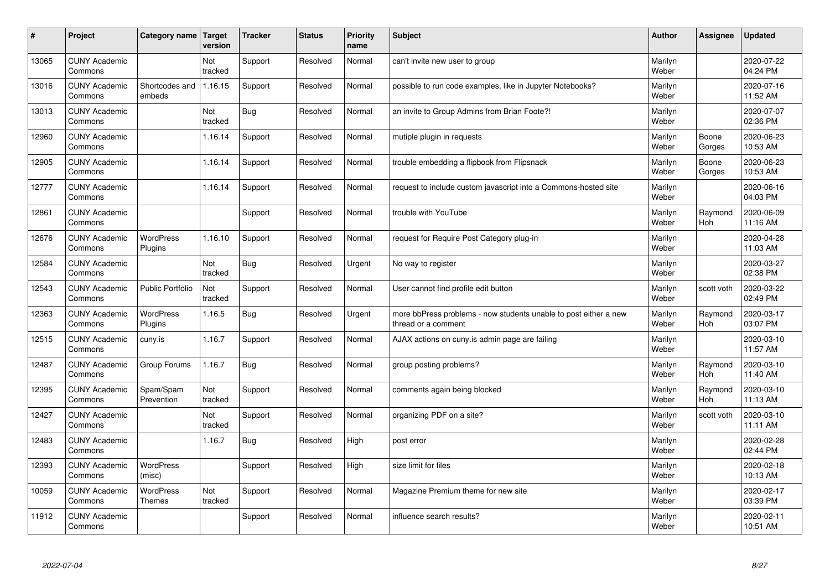| $\vert$ # | Project                         | Category name               | Target<br>version | <b>Tracker</b> | <b>Status</b> | <b>Priority</b><br>name | <b>Subject</b>                                                                          | <b>Author</b>    | <b>Assignee</b> | <b>Updated</b>         |
|-----------|---------------------------------|-----------------------------|-------------------|----------------|---------------|-------------------------|-----------------------------------------------------------------------------------------|------------------|-----------------|------------------------|
| 13065     | <b>CUNY Academic</b><br>Commons |                             | Not<br>tracked    | Support        | Resolved      | Normal                  | can't invite new user to group                                                          | Marilyn<br>Weber |                 | 2020-07-22<br>04:24 PM |
| 13016     | <b>CUNY Academic</b><br>Commons | Shortcodes and<br>embeds    | 1.16.15           | Support        | Resolved      | Normal                  | possible to run code examples, like in Jupyter Notebooks?                               | Marilyn<br>Weber |                 | 2020-07-16<br>11:52 AM |
| 13013     | <b>CUNY Academic</b><br>Commons |                             | Not<br>tracked    | <b>Bug</b>     | Resolved      | Normal                  | an invite to Group Admins from Brian Foote?!                                            | Marilyn<br>Weber |                 | 2020-07-07<br>02:36 PM |
| 12960     | <b>CUNY Academic</b><br>Commons |                             | 1.16.14           | Support        | Resolved      | Normal                  | mutiple plugin in requests                                                              | Marilyn<br>Weber | Boone<br>Gorges | 2020-06-23<br>10:53 AM |
| 12905     | <b>CUNY Academic</b><br>Commons |                             | 1.16.14           | Support        | Resolved      | Normal                  | trouble embedding a flipbook from Flipsnack                                             | Marilyn<br>Weber | Boone<br>Gorges | 2020-06-23<br>10:53 AM |
| 12777     | <b>CUNY Academic</b><br>Commons |                             | 1.16.14           | Support        | Resolved      | Normal                  | request to include custom javascript into a Commons-hosted site                         | Marilyn<br>Weber |                 | 2020-06-16<br>04:03 PM |
| 12861     | <b>CUNY Academic</b><br>Commons |                             |                   | Support        | Resolved      | Normal                  | trouble with YouTube                                                                    | Marilyn<br>Weber | Raymond<br>Hoh  | 2020-06-09<br>11:16 AM |
| 12676     | <b>CUNY Academic</b><br>Commons | <b>WordPress</b><br>Plugins | 1.16.10           | Support        | Resolved      | Normal                  | request for Require Post Category plug-in                                               | Marilyn<br>Weber |                 | 2020-04-28<br>11:03 AM |
| 12584     | <b>CUNY Academic</b><br>Commons |                             | Not<br>tracked    | <b>Bug</b>     | Resolved      | Urgent                  | No way to register                                                                      | Marilyn<br>Weber |                 | 2020-03-27<br>02:38 PM |
| 12543     | <b>CUNY Academic</b><br>Commons | <b>Public Portfolio</b>     | Not<br>tracked    | Support        | Resolved      | Normal                  | User cannot find profile edit button                                                    | Marilyn<br>Weber | scott voth      | 2020-03-22<br>02:49 PM |
| 12363     | <b>CUNY Academic</b><br>Commons | WordPress<br>Plugins        | 1.16.5            | <b>Bug</b>     | Resolved      | Urgent                  | more bbPress problems - now students unable to post either a new<br>thread or a comment | Marilyn<br>Weber | Raymond<br>Hoh  | 2020-03-17<br>03:07 PM |
| 12515     | <b>CUNY Academic</b><br>Commons | cuny.is                     | 1.16.7            | Support        | Resolved      | Normal                  | AJAX actions on cuny is admin page are failing                                          | Marilyn<br>Weber |                 | 2020-03-10<br>11:57 AM |
| 12487     | <b>CUNY Academic</b><br>Commons | Group Forums                | 1.16.7            | <b>Bug</b>     | Resolved      | Normal                  | group posting problems?                                                                 | Marilyn<br>Weber | Raymond<br>Hoh  | 2020-03-10<br>11:40 AM |
| 12395     | <b>CUNY Academic</b><br>Commons | Spam/Spam<br>Prevention     | Not<br>tracked    | Support        | Resolved      | Normal                  | comments again being blocked                                                            | Marilyn<br>Weber | Raymond<br>Hoh  | 2020-03-10<br>11:13 AM |
| 12427     | <b>CUNY Academic</b><br>Commons |                             | Not<br>tracked    | Support        | Resolved      | Normal                  | organizing PDF on a site?                                                               | Marilyn<br>Weber | scott voth      | 2020-03-10<br>11:11 AM |
| 12483     | <b>CUNY Academic</b><br>Commons |                             | 1.16.7            | <b>Bug</b>     | Resolved      | High                    | post error                                                                              | Marilyn<br>Weber |                 | 2020-02-28<br>02:44 PM |
| 12393     | <b>CUNY Academic</b><br>Commons | <b>WordPress</b><br>(misc)  |                   | Support        | Resolved      | High                    | size limit for files                                                                    | Marilyn<br>Weber |                 | 2020-02-18<br>10:13 AM |
| 10059     | <b>CUNY Academic</b><br>Commons | WordPress<br><b>Themes</b>  | Not<br>tracked    | Support        | Resolved      | Normal                  | Magazine Premium theme for new site                                                     | Marilyn<br>Weber |                 | 2020-02-17<br>03:39 PM |
| 11912     | <b>CUNY Academic</b><br>Commons |                             |                   | Support        | Resolved      | Normal                  | influence search results?                                                               | Marilyn<br>Weber |                 | 2020-02-11<br>10:51 AM |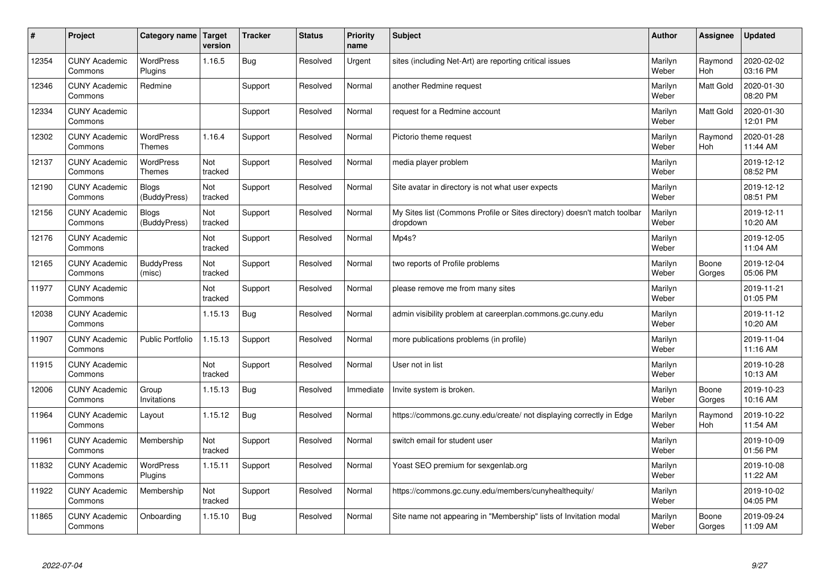| $\#$  | Project                         | Category name   Target            | version        | <b>Tracker</b> | <b>Status</b> | Priority<br>name | <b>Subject</b>                                                                       | <b>Author</b>    | <b>Assignee</b>       | <b>Updated</b>         |
|-------|---------------------------------|-----------------------------------|----------------|----------------|---------------|------------------|--------------------------------------------------------------------------------------|------------------|-----------------------|------------------------|
| 12354 | <b>CUNY Academic</b><br>Commons | <b>WordPress</b><br>Plugins       | 1.16.5         | Bug            | Resolved      | Urgent           | sites (including Net-Art) are reporting critical issues                              | Marilyn<br>Weber | Raymond<br><b>Hoh</b> | 2020-02-02<br>03:16 PM |
| 12346 | <b>CUNY Academic</b><br>Commons | Redmine                           |                | Support        | Resolved      | Normal           | another Redmine request                                                              | Marilyn<br>Weber | <b>Matt Gold</b>      | 2020-01-30<br>08:20 PM |
| 12334 | <b>CUNY Academic</b><br>Commons |                                   |                | Support        | Resolved      | Normal           | request for a Redmine account                                                        | Marilyn<br>Weber | <b>Matt Gold</b>      | 2020-01-30<br>12:01 PM |
| 12302 | <b>CUNY Academic</b><br>Commons | <b>WordPress</b><br><b>Themes</b> | 1.16.4         | Support        | Resolved      | Normal           | Pictorio theme request                                                               | Marilyn<br>Weber | Raymond<br>Hoh        | 2020-01-28<br>11:44 AM |
| 12137 | <b>CUNY Academic</b><br>Commons | <b>WordPress</b><br><b>Themes</b> | Not<br>tracked | Support        | Resolved      | Normal           | media player problem                                                                 | Marilyn<br>Weber |                       | 2019-12-12<br>08:52 PM |
| 12190 | <b>CUNY Academic</b><br>Commons | <b>Blogs</b><br>(BuddyPress)      | Not<br>tracked | Support        | Resolved      | Normal           | Site avatar in directory is not what user expects                                    | Marilyn<br>Weber |                       | 2019-12-12<br>08:51 PM |
| 12156 | <b>CUNY Academic</b><br>Commons | <b>Blogs</b><br>(BuddyPress)      | Not<br>tracked | Support        | Resolved      | Normal           | My Sites list (Commons Profile or Sites directory) doesn't match toolbar<br>dropdown | Marilyn<br>Weber |                       | 2019-12-11<br>10:20 AM |
| 12176 | <b>CUNY Academic</b><br>Commons |                                   | Not<br>tracked | Support        | Resolved      | Normal           | Mp4s?                                                                                | Marilyn<br>Weber |                       | 2019-12-05<br>11:04 AM |
| 12165 | <b>CUNY Academic</b><br>Commons | <b>BuddyPress</b><br>(misc)       | Not<br>tracked | Support        | Resolved      | Normal           | two reports of Profile problems                                                      | Marilyn<br>Weber | Boone<br>Gorges       | 2019-12-04<br>05:06 PM |
| 11977 | <b>CUNY Academic</b><br>Commons |                                   | Not<br>tracked | Support        | Resolved      | Normal           | please remove me from many sites                                                     | Marilyn<br>Weber |                       | 2019-11-21<br>01:05 PM |
| 12038 | <b>CUNY Academic</b><br>Commons |                                   | 1.15.13        | Bug            | Resolved      | Normal           | admin visibility problem at careerplan.commons.gc.cuny.edu                           | Marilyn<br>Weber |                       | 2019-11-12<br>10:20 AM |
| 11907 | <b>CUNY Academic</b><br>Commons | <b>Public Portfolio</b>           | 1.15.13        | Support        | Resolved      | Normal           | more publications problems (in profile)                                              | Marilyn<br>Weber |                       | 2019-11-04<br>11:16 AM |
| 11915 | <b>CUNY Academic</b><br>Commons |                                   | Not<br>tracked | Support        | Resolved      | Normal           | User not in list                                                                     | Marilyn<br>Weber |                       | 2019-10-28<br>10:13 AM |
| 12006 | <b>CUNY Academic</b><br>Commons | Group<br>Invitations              | 1.15.13        | Bug            | Resolved      | Immediate        | Invite system is broken.                                                             | Marilyn<br>Weber | Boone<br>Gorges       | 2019-10-23<br>10:16 AM |
| 11964 | <b>CUNY Academic</b><br>Commons | Layout                            | 1.15.12        | Bug            | Resolved      | Normal           | https://commons.gc.cuny.edu/create/ not displaying correctly in Edge                 | Marilyn<br>Weber | Raymond<br>Hoh        | 2019-10-22<br>11:54 AM |
| 11961 | <b>CUNY Academic</b><br>Commons | Membership                        | Not<br>tracked | Support        | Resolved      | Normal           | switch email for student user                                                        | Marilyn<br>Weber |                       | 2019-10-09<br>01:56 PM |
| 11832 | <b>CUNY Academic</b><br>Commons | WordPress<br>Plugins              | 1.15.11        | Support        | Resolved      | Normal           | Yoast SEO premium for sexgenlab.org                                                  | Marilyn<br>Weber |                       | 2019-10-08<br>11:22 AM |
| 11922 | <b>CUNY Academic</b><br>Commons | Membership                        | Not<br>tracked | Support        | Resolved      | Normal           | https://commons.gc.cuny.edu/members/cunyhealthequity/                                | Marilyn<br>Weber |                       | 2019-10-02<br>04:05 PM |
| 11865 | <b>CUNY Academic</b><br>Commons | Onboarding                        | 1.15.10        | Bug            | Resolved      | Normal           | Site name not appearing in "Membership" lists of Invitation modal                    | Marilyn<br>Weber | Boone<br>Gorges       | 2019-09-24<br>11:09 AM |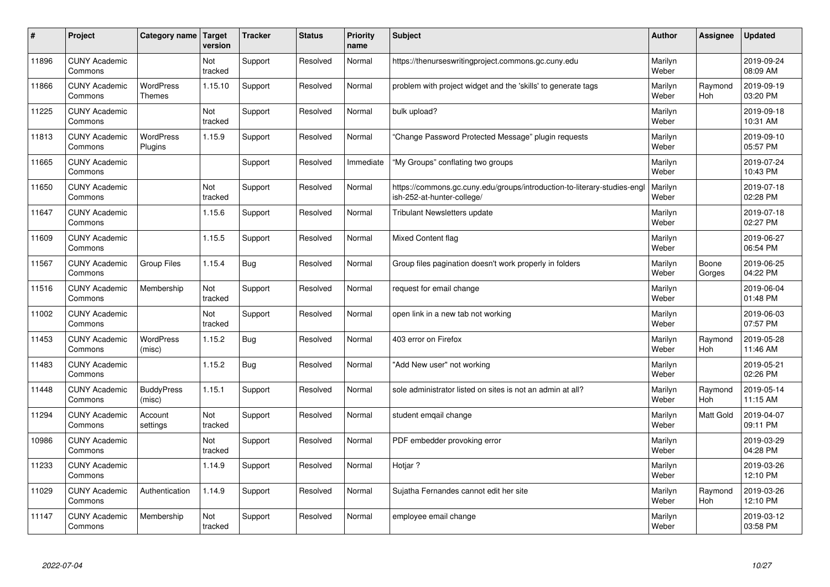| #     | Project                         | Category name   Target      | version        | <b>Tracker</b> | <b>Status</b> | <b>Priority</b><br>name | <b>Subject</b>                                                                                        | <b>Author</b>    | Assignee              | <b>Updated</b>         |
|-------|---------------------------------|-----------------------------|----------------|----------------|---------------|-------------------------|-------------------------------------------------------------------------------------------------------|------------------|-----------------------|------------------------|
| 11896 | <b>CUNY Academic</b><br>Commons |                             | Not<br>tracked | Support        | Resolved      | Normal                  | https://thenurseswritingproject.commons.gc.cuny.edu                                                   | Marilyn<br>Weber |                       | 2019-09-24<br>08:09 AM |
| 11866 | <b>CUNY Academic</b><br>Commons | <b>WordPress</b><br>Themes  | 1.15.10        | Support        | Resolved      | Normal                  | problem with project widget and the 'skills' to generate tags                                         | Marilyn<br>Weber | Raymond<br><b>Hoh</b> | 2019-09-19<br>03:20 PM |
| 11225 | <b>CUNY Academic</b><br>Commons |                             | Not<br>tracked | Support        | Resolved      | Normal                  | bulk upload?                                                                                          | Marilyn<br>Weber |                       | 2019-09-18<br>10:31 AM |
| 11813 | <b>CUNY Academic</b><br>Commons | <b>WordPress</b><br>Plugins | 1.15.9         | Support        | Resolved      | Normal                  | Change Password Protected Message" plugin requests                                                    | Marilyn<br>Weber |                       | 2019-09-10<br>05:57 PM |
| 11665 | <b>CUNY Academic</b><br>Commons |                             |                | Support        | Resolved      | Immediate               | "My Groups" conflating two groups                                                                     | Marilyn<br>Weber |                       | 2019-07-24<br>10:43 PM |
| 11650 | <b>CUNY Academic</b><br>Commons |                             | Not<br>tracked | Support        | Resolved      | Normal                  | https://commons.gc.cuny.edu/groups/introduction-to-literary-studies-eng<br>ish-252-at-hunter-college/ | Marilyn<br>Weber |                       | 2019-07-18<br>02:28 PM |
| 11647 | <b>CUNY Academic</b><br>Commons |                             | 1.15.6         | Support        | Resolved      | Normal                  | <b>Tribulant Newsletters update</b>                                                                   | Marilyn<br>Weber |                       | 2019-07-18<br>02:27 PM |
| 11609 | <b>CUNY Academic</b><br>Commons |                             | 1.15.5         | Support        | Resolved      | Normal                  | <b>Mixed Content flag</b>                                                                             | Marilyn<br>Weber |                       | 2019-06-27<br>06:54 PM |
| 11567 | <b>CUNY Academic</b><br>Commons | <b>Group Files</b>          | 1.15.4         | Bug            | Resolved      | Normal                  | Group files pagination doesn't work properly in folders                                               | Marilyn<br>Weber | Boone<br>Gorges       | 2019-06-25<br>04:22 PM |
| 11516 | <b>CUNY Academic</b><br>Commons | Membership                  | Not<br>tracked | Support        | Resolved      | Normal                  | request for email change                                                                              | Marilyn<br>Weber |                       | 2019-06-04<br>01:48 PM |
| 11002 | <b>CUNY Academic</b><br>Commons |                             | Not<br>tracked | Support        | Resolved      | Normal                  | open link in a new tab not working                                                                    | Marilyn<br>Weber |                       | 2019-06-03<br>07:57 PM |
| 11453 | <b>CUNY Academic</b><br>Commons | <b>WordPress</b><br>(misc)  | 1.15.2         | Bug            | Resolved      | Normal                  | 403 error on Firefox                                                                                  | Marilyn<br>Weber | Raymond<br><b>Hoh</b> | 2019-05-28<br>11:46 AM |
| 11483 | <b>CUNY Academic</b><br>Commons |                             | 1.15.2         | Bug            | Resolved      | Normal                  | 'Add New user" not working                                                                            | Marilyn<br>Weber |                       | 2019-05-21<br>02:26 PM |
| 11448 | <b>CUNY Academic</b><br>Commons | <b>BuddyPress</b><br>(misc) | 1.15.1         | Support        | Resolved      | Normal                  | sole administrator listed on sites is not an admin at all?                                            | Marilyn<br>Weber | Raymond<br>Hoh        | 2019-05-14<br>11:15 AM |
| 11294 | <b>CUNY Academic</b><br>Commons | Account<br>settings         | Not<br>tracked | Support        | Resolved      | Normal                  | student emqail change                                                                                 | Marilyn<br>Weber | Matt Gold             | 2019-04-07<br>09:11 PM |
| 10986 | <b>CUNY Academic</b><br>Commons |                             | Not<br>tracked | Support        | Resolved      | Normal                  | PDF embedder provoking error                                                                          | Marilyn<br>Weber |                       | 2019-03-29<br>04:28 PM |
| 11233 | <b>CUNY Academic</b><br>Commons |                             | 1.14.9         | Support        | Resolved      | Normal                  | Hotjar ?                                                                                              | Marilyn<br>Weber |                       | 2019-03-26<br>12:10 PM |
| 11029 | <b>CUNY Academic</b><br>Commons | Authentication              | 1.14.9         | Support        | Resolved      | Normal                  | Sujatha Fernandes cannot edit her site                                                                | Marilyn<br>Weber | Raymond<br><b>Hoh</b> | 2019-03-26<br>12:10 PM |
| 11147 | <b>CUNY Academic</b><br>Commons | Membership                  | Not<br>tracked | Support        | Resolved      | Normal                  | employee email change                                                                                 | Marilyn<br>Weber |                       | 2019-03-12<br>03:58 PM |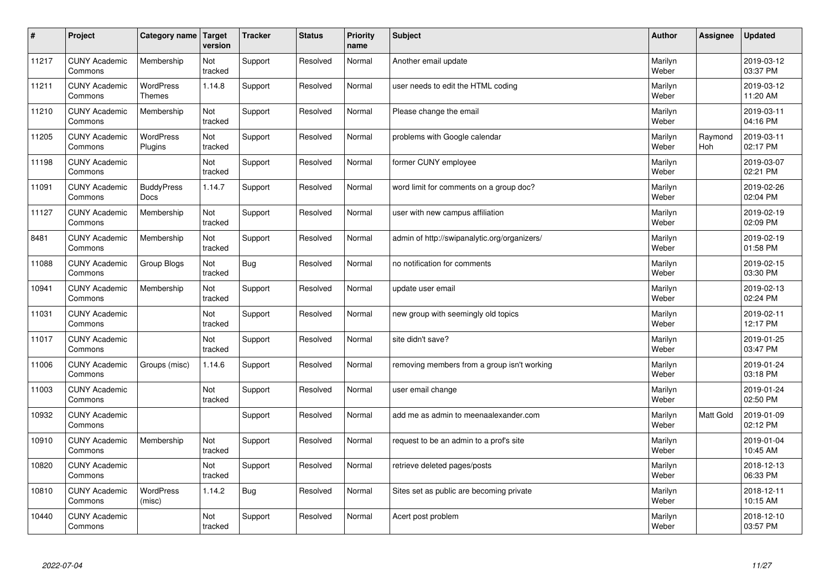| $\sharp$ | Project                         | Category name                     | Target<br>version | <b>Tracker</b> | <b>Status</b> | <b>Priority</b><br>name | <b>Subject</b>                               | <b>Author</b>    | Assignee              | <b>Updated</b>         |
|----------|---------------------------------|-----------------------------------|-------------------|----------------|---------------|-------------------------|----------------------------------------------|------------------|-----------------------|------------------------|
| 11217    | <b>CUNY Academic</b><br>Commons | Membership                        | Not<br>tracked    | Support        | Resolved      | Normal                  | Another email update                         | Marilyn<br>Weber |                       | 2019-03-12<br>03:37 PM |
| 11211    | <b>CUNY Academic</b><br>Commons | <b>WordPress</b><br><b>Themes</b> | 1.14.8            | Support        | Resolved      | Normal                  | user needs to edit the HTML coding           | Marilyn<br>Weber |                       | 2019-03-12<br>11:20 AM |
| 11210    | <b>CUNY Academic</b><br>Commons | Membership                        | Not<br>tracked    | Support        | Resolved      | Normal                  | Please change the email                      | Marilyn<br>Weber |                       | 2019-03-11<br>04:16 PM |
| 11205    | <b>CUNY Academic</b><br>Commons | <b>WordPress</b><br>Plugins       | Not<br>tracked    | Support        | Resolved      | Normal                  | problems with Google calendar                | Marilyn<br>Weber | Raymond<br><b>Hoh</b> | 2019-03-11<br>02:17 PM |
| 11198    | <b>CUNY Academic</b><br>Commons |                                   | Not<br>tracked    | Support        | Resolved      | Normal                  | former CUNY employee                         | Marilyn<br>Weber |                       | 2019-03-07<br>02:21 PM |
| 11091    | <b>CUNY Academic</b><br>Commons | <b>BuddyPress</b><br><b>Docs</b>  | 1.14.7            | Support        | Resolved      | Normal                  | word limit for comments on a group doc?      | Marilyn<br>Weber |                       | 2019-02-26<br>02:04 PM |
| 11127    | <b>CUNY Academic</b><br>Commons | Membership                        | Not<br>tracked    | Support        | Resolved      | Normal                  | user with new campus affiliation             | Marilyn<br>Weber |                       | 2019-02-19<br>02:09 PM |
| 8481     | <b>CUNY Academic</b><br>Commons | Membership                        | Not<br>tracked    | Support        | Resolved      | Normal                  | admin of http://swipanalytic.org/organizers/ | Marilyn<br>Weber |                       | 2019-02-19<br>01:58 PM |
| 11088    | <b>CUNY Academic</b><br>Commons | Group Blogs                       | Not<br>tracked    | Bug            | Resolved      | Normal                  | no notification for comments                 | Marilyn<br>Weber |                       | 2019-02-15<br>03:30 PM |
| 10941    | <b>CUNY Academic</b><br>Commons | Membership                        | Not<br>tracked    | Support        | Resolved      | Normal                  | update user email                            | Marilyn<br>Weber |                       | 2019-02-13<br>02:24 PM |
| 11031    | <b>CUNY Academic</b><br>Commons |                                   | Not<br>tracked    | Support        | Resolved      | Normal                  | new group with seemingly old topics          | Marilyn<br>Weber |                       | 2019-02-11<br>12:17 PM |
| 11017    | <b>CUNY Academic</b><br>Commons |                                   | Not<br>tracked    | Support        | Resolved      | Normal                  | site didn't save?                            | Marilyn<br>Weber |                       | 2019-01-25<br>03:47 PM |
| 11006    | <b>CUNY Academic</b><br>Commons | Groups (misc)                     | 1.14.6            | Support        | Resolved      | Normal                  | removing members from a group isn't working  | Marilyn<br>Weber |                       | 2019-01-24<br>03:18 PM |
| 11003    | <b>CUNY Academic</b><br>Commons |                                   | Not<br>tracked    | Support        | Resolved      | Normal                  | user email change                            | Marilyn<br>Weber |                       | 2019-01-24<br>02:50 PM |
| 10932    | <b>CUNY Academic</b><br>Commons |                                   |                   | Support        | Resolved      | Normal                  | add me as admin to meenaalexander.com        | Marilyn<br>Weber | Matt Gold             | 2019-01-09<br>02:12 PM |
| 10910    | <b>CUNY Academic</b><br>Commons | Membership                        | Not<br>tracked    | Support        | Resolved      | Normal                  | request to be an admin to a prof's site      | Marilyn<br>Weber |                       | 2019-01-04<br>10:45 AM |
| 10820    | <b>CUNY Academic</b><br>Commons |                                   | Not<br>tracked    | Support        | Resolved      | Normal                  | retrieve deleted pages/posts                 | Marilyn<br>Weber |                       | 2018-12-13<br>06:33 PM |
| 10810    | <b>CUNY Academic</b><br>Commons | <b>WordPress</b><br>(misc)        | 1.14.2            | Bug            | Resolved      | Normal                  | Sites set as public are becoming private     | Marilyn<br>Weber |                       | 2018-12-11<br>10:15 AM |
| 10440    | <b>CUNY Academic</b><br>Commons |                                   | Not<br>tracked    | Support        | Resolved      | Normal                  | Acert post problem                           | Marilyn<br>Weber |                       | 2018-12-10<br>03:57 PM |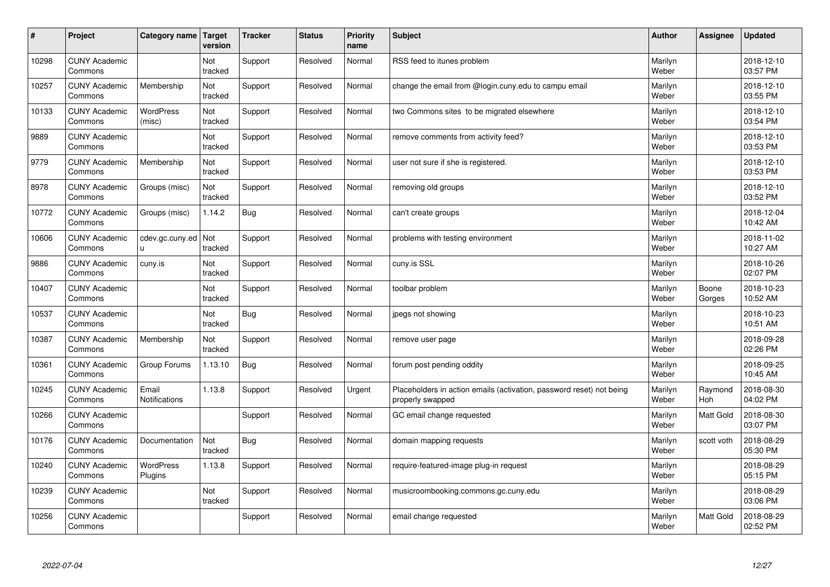| #     | Project                         | Category name               | Target<br>version | <b>Tracker</b> | <b>Status</b> | <b>Priority</b><br>name | <b>Subject</b>                                                                           | <b>Author</b>    | Assignee        | <b>Updated</b>         |
|-------|---------------------------------|-----------------------------|-------------------|----------------|---------------|-------------------------|------------------------------------------------------------------------------------------|------------------|-----------------|------------------------|
| 10298 | <b>CUNY Academic</b><br>Commons |                             | Not<br>tracked    | Support        | Resolved      | Normal                  | RSS feed to itunes problem                                                               | Marilyn<br>Weber |                 | 2018-12-10<br>03:57 PM |
| 10257 | <b>CUNY Academic</b><br>Commons | Membership                  | Not<br>tracked    | Support        | Resolved      | Normal                  | change the email from @login.cuny.edu to campu email                                     | Marilyn<br>Weber |                 | 2018-12-10<br>03:55 PM |
| 10133 | <b>CUNY Academic</b><br>Commons | <b>WordPress</b><br>(misc)  | Not<br>tracked    | Support        | Resolved      | Normal                  | two Commons sites to be migrated elsewhere                                               | Marilyn<br>Weber |                 | 2018-12-10<br>03:54 PM |
| 9889  | <b>CUNY Academic</b><br>Commons |                             | Not<br>tracked    | Support        | Resolved      | Normal                  | remove comments from activity feed?                                                      | Marilyn<br>Weber |                 | 2018-12-10<br>03:53 PM |
| 9779  | <b>CUNY Academic</b><br>Commons | Membership                  | Not<br>tracked    | Support        | Resolved      | Normal                  | user not sure if she is registered.                                                      | Marilyn<br>Weber |                 | 2018-12-10<br>03:53 PM |
| 8978  | <b>CUNY Academic</b><br>Commons | Groups (misc)               | Not<br>tracked    | Support        | Resolved      | Normal                  | removing old groups                                                                      | Marilyn<br>Weber |                 | 2018-12-10<br>03:52 PM |
| 10772 | <b>CUNY Academic</b><br>Commons | Groups (misc)               | 1.14.2            | <b>Bug</b>     | Resolved      | Normal                  | can't create groups                                                                      | Marilyn<br>Weber |                 | 2018-12-04<br>10:42 AM |
| 10606 | <b>CUNY Academic</b><br>Commons | cdev.gc.cuny.ed<br>u.       | Not<br>tracked    | Support        | Resolved      | Normal                  | problems with testing environment                                                        | Marilyn<br>Weber |                 | 2018-11-02<br>10:27 AM |
| 9886  | <b>CUNY Academic</b><br>Commons | cuny.is                     | Not<br>tracked    | Support        | Resolved      | Normal                  | cuny.is SSL                                                                              | Marilyn<br>Weber |                 | 2018-10-26<br>02:07 PM |
| 10407 | <b>CUNY Academic</b><br>Commons |                             | Not<br>tracked    | Support        | Resolved      | Normal                  | toolbar problem                                                                          | Marilyn<br>Weber | Boone<br>Gorges | 2018-10-23<br>10:52 AM |
| 10537 | <b>CUNY Academic</b><br>Commons |                             | Not<br>tracked    | <b>Bug</b>     | Resolved      | Normal                  | jpegs not showing                                                                        | Marilyn<br>Weber |                 | 2018-10-23<br>10:51 AM |
| 10387 | <b>CUNY Academic</b><br>Commons | Membership                  | Not<br>tracked    | Support        | Resolved      | Normal                  | remove user page                                                                         | Marilyn<br>Weber |                 | 2018-09-28<br>02:26 PM |
| 10361 | <b>CUNY Academic</b><br>Commons | Group Forums                | 1.13.10           | <b>Bug</b>     | Resolved      | Normal                  | forum post pending oddity                                                                | Marilyn<br>Weber |                 | 2018-09-25<br>10:45 AM |
| 10245 | <b>CUNY Academic</b><br>Commons | Email<br>Notifications      | 1.13.8            | Support        | Resolved      | Urgent                  | Placeholders in action emails (activation, password reset) not being<br>properly swapped | Marilyn<br>Weber | Raymond<br>Hoh  | 2018-08-30<br>04:02 PM |
| 10266 | <b>CUNY Academic</b><br>Commons |                             |                   | Support        | Resolved      | Normal                  | GC email change requested                                                                | Marilyn<br>Weber | Matt Gold       | 2018-08-30<br>03:07 PM |
| 10176 | <b>CUNY Academic</b><br>Commons | Documentation               | Not<br>tracked    | Bug            | Resolved      | Normal                  | domain mapping requests                                                                  | Marilyn<br>Weber | scott voth      | 2018-08-29<br>05:30 PM |
| 10240 | <b>CUNY Academic</b><br>Commons | <b>WordPress</b><br>Plugins | 1.13.8            | Support        | Resolved      | Normal                  | require-featured-image plug-in request                                                   | Marilyn<br>Weber |                 | 2018-08-29<br>05:15 PM |
| 10239 | <b>CUNY Academic</b><br>Commons |                             | Not<br>tracked    | Support        | Resolved      | Normal                  | musicroombooking.commons.gc.cuny.edu                                                     | Marilyn<br>Weber |                 | 2018-08-29<br>03:06 PM |
| 10256 | <b>CUNY Academic</b><br>Commons |                             |                   | Support        | Resolved      | Normal                  | email change requested                                                                   | Marilyn<br>Weber | Matt Gold       | 2018-08-29<br>02:52 PM |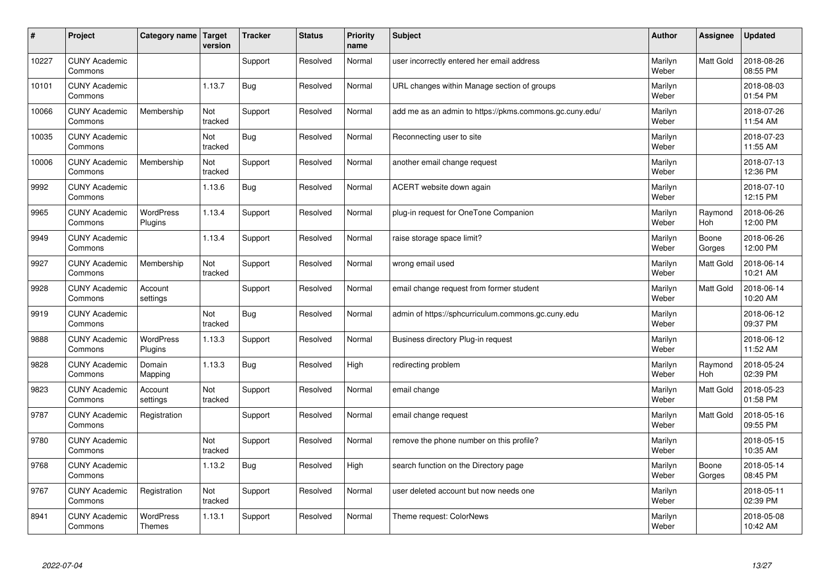| #     | Project                         | Category name                     | Target<br>version | <b>Tracker</b> | <b>Status</b> | <b>Priority</b><br>name | <b>Subject</b>                                          | <b>Author</b>    | Assignee         | <b>Updated</b>         |
|-------|---------------------------------|-----------------------------------|-------------------|----------------|---------------|-------------------------|---------------------------------------------------------|------------------|------------------|------------------------|
| 10227 | <b>CUNY Academic</b><br>Commons |                                   |                   | Support        | Resolved      | Normal                  | user incorrectly entered her email address              | Marilyn<br>Weber | <b>Matt Gold</b> | 2018-08-26<br>08:55 PM |
| 10101 | <b>CUNY Academic</b><br>Commons |                                   | 1.13.7            | Bug            | Resolved      | Normal                  | URL changes within Manage section of groups             | Marilyn<br>Weber |                  | 2018-08-03<br>01:54 PM |
| 10066 | <b>CUNY Academic</b><br>Commons | Membership                        | Not<br>tracked    | Support        | Resolved      | Normal                  | add me as an admin to https://pkms.commons.gc.cuny.edu/ | Marilyn<br>Weber |                  | 2018-07-26<br>11:54 AM |
| 10035 | <b>CUNY Academic</b><br>Commons |                                   | Not<br>tracked    | Bug            | Resolved      | Normal                  | Reconnecting user to site                               | Marilyn<br>Weber |                  | 2018-07-23<br>11:55 AM |
| 10006 | <b>CUNY Academic</b><br>Commons | Membership                        | Not<br>tracked    | Support        | Resolved      | Normal                  | another email change request                            | Marilyn<br>Weber |                  | 2018-07-13<br>12:36 PM |
| 9992  | <b>CUNY Academic</b><br>Commons |                                   | 1.13.6            | Bug            | Resolved      | Normal                  | ACERT website down again                                | Marilyn<br>Weber |                  | 2018-07-10<br>12:15 PM |
| 9965  | <b>CUNY Academic</b><br>Commons | <b>WordPress</b><br>Plugins       | 1.13.4            | Support        | Resolved      | Normal                  | plug-in request for OneTone Companion                   | Marilyn<br>Weber | Raymond<br>Hoh   | 2018-06-26<br>12:00 PM |
| 9949  | <b>CUNY Academic</b><br>Commons |                                   | 1.13.4            | Support        | Resolved      | Normal                  | raise storage space limit?                              | Marilyn<br>Weber | Boone<br>Gorges  | 2018-06-26<br>12:00 PM |
| 9927  | <b>CUNY Academic</b><br>Commons | Membership                        | Not<br>tracked    | Support        | Resolved      | Normal                  | wrong email used                                        | Marilyn<br>Weber | <b>Matt Gold</b> | 2018-06-14<br>10:21 AM |
| 9928  | <b>CUNY Academic</b><br>Commons | Account<br>settings               |                   | Support        | Resolved      | Normal                  | email change request from former student                | Marilyn<br>Weber | Matt Gold        | 2018-06-14<br>10:20 AM |
| 9919  | <b>CUNY Academic</b><br>Commons |                                   | Not<br>tracked    | Bug            | Resolved      | Normal                  | admin of https://sphcurriculum.commons.gc.cuny.edu      | Marilyn<br>Weber |                  | 2018-06-12<br>09:37 PM |
| 9888  | <b>CUNY Academic</b><br>Commons | <b>WordPress</b><br>Plugins       | 1.13.3            | Support        | Resolved      | Normal                  | Business directory Plug-in request                      | Marilyn<br>Weber |                  | 2018-06-12<br>11:52 AM |
| 9828  | <b>CUNY Academic</b><br>Commons | Domain<br>Mapping                 | 1.13.3            | <b>Bug</b>     | Resolved      | High                    | redirecting problem                                     | Marilyn<br>Weber | Raymond<br>Hoh   | 2018-05-24<br>02:39 PM |
| 9823  | <b>CUNY Academic</b><br>Commons | Account<br>settings               | Not<br>tracked    | Support        | Resolved      | Normal                  | email change                                            | Marilyn<br>Weber | <b>Matt Gold</b> | 2018-05-23<br>01:58 PM |
| 9787  | <b>CUNY Academic</b><br>Commons | Registration                      |                   | Support        | Resolved      | Normal                  | email change request                                    | Marilyn<br>Weber | Matt Gold        | 2018-05-16<br>09:55 PM |
| 9780  | <b>CUNY Academic</b><br>Commons |                                   | Not<br>tracked    | Support        | Resolved      | Normal                  | remove the phone number on this profile?                | Marilyn<br>Weber |                  | 2018-05-15<br>10:35 AM |
| 9768  | <b>CUNY Academic</b><br>Commons |                                   | 1.13.2            | Bug            | Resolved      | High                    | search function on the Directory page                   | Marilyn<br>Weber | Boone<br>Gorges  | 2018-05-14<br>08:45 PM |
| 9767  | <b>CUNY Academic</b><br>Commons | Registration                      | Not<br>tracked    | Support        | Resolved      | Normal                  | user deleted account but now needs one                  | Marilyn<br>Weber |                  | 2018-05-11<br>02:39 PM |
| 8941  | <b>CUNY Academic</b><br>Commons | <b>WordPress</b><br><b>Themes</b> | 1.13.1            | Support        | Resolved      | Normal                  | Theme request: ColorNews                                | Marilyn<br>Weber |                  | 2018-05-08<br>10:42 AM |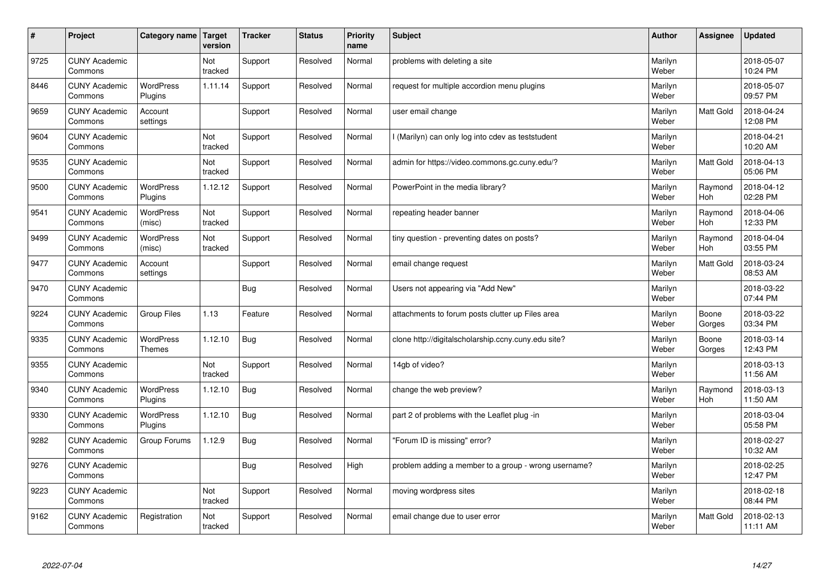| $\sharp$ | Project                         | Category name   Target             | version        | <b>Tracker</b> | <b>Status</b> | <b>Priority</b><br>name | <b>Subject</b>                                       | <b>Author</b>    | Assignee              | <b>Updated</b>         |
|----------|---------------------------------|------------------------------------|----------------|----------------|---------------|-------------------------|------------------------------------------------------|------------------|-----------------------|------------------------|
| 9725     | <b>CUNY Academic</b><br>Commons |                                    | Not<br>tracked | Support        | Resolved      | Normal                  | problems with deleting a site                        | Marilyn<br>Weber |                       | 2018-05-07<br>10:24 PM |
| 8446     | <b>CUNY Academic</b><br>Commons | <b>WordPress</b><br>Plugins        | 1.11.14        | Support        | Resolved      | Normal                  | request for multiple accordion menu plugins          | Marilyn<br>Weber |                       | 2018-05-07<br>09:57 PM |
| 9659     | <b>CUNY Academic</b><br>Commons | Account<br>settings                |                | Support        | Resolved      | Normal                  | user email change                                    | Marilyn<br>Weber | Matt Gold             | 2018-04-24<br>12:08 PM |
| 9604     | <b>CUNY Academic</b><br>Commons |                                    | Not<br>tracked | Support        | Resolved      | Normal                  | I (Marilyn) can only log into cdev as teststudent    | Marilyn<br>Weber |                       | 2018-04-21<br>10:20 AM |
| 9535     | <b>CUNY Academic</b><br>Commons |                                    | Not<br>tracked | Support        | Resolved      | Normal                  | admin for https://video.commons.gc.cuny.edu/?        | Marilyn<br>Weber | <b>Matt Gold</b>      | 2018-04-13<br>05:06 PM |
| 9500     | <b>CUNY Academic</b><br>Commons | <b>WordPress</b><br><b>Plugins</b> | 1.12.12        | Support        | Resolved      | Normal                  | PowerPoint in the media library?                     | Marilyn<br>Weber | Raymond<br>Hoh        | 2018-04-12<br>02:28 PM |
| 9541     | <b>CUNY Academic</b><br>Commons | <b>WordPress</b><br>(misc)         | Not<br>tracked | Support        | Resolved      | Normal                  | repeating header banner                              | Marilyn<br>Weber | Raymond<br>Hoh        | 2018-04-06<br>12:33 PM |
| 9499     | <b>CUNY Academic</b><br>Commons | WordPress<br>(misc)                | Not<br>tracked | Support        | Resolved      | Normal                  | tiny question - preventing dates on posts?           | Marilyn<br>Weber | Raymond<br><b>Hoh</b> | 2018-04-04<br>03:55 PM |
| 9477     | <b>CUNY Academic</b><br>Commons | Account<br>settings                |                | Support        | Resolved      | Normal                  | email change request                                 | Marilyn<br>Weber | <b>Matt Gold</b>      | 2018-03-24<br>08:53 AM |
| 9470     | <b>CUNY Academic</b><br>Commons |                                    |                | Bug            | Resolved      | Normal                  | Users not appearing via "Add New"                    | Marilyn<br>Weber |                       | 2018-03-22<br>07:44 PM |
| 9224     | <b>CUNY Academic</b><br>Commons | Group Files                        | 1.13           | Feature        | Resolved      | Normal                  | attachments to forum posts clutter up Files area     | Marilyn<br>Weber | Boone<br>Gorges       | 2018-03-22<br>03:34 PM |
| 9335     | <b>CUNY Academic</b><br>Commons | WordPress<br>Themes                | 1.12.10        | <b>Bug</b>     | Resolved      | Normal                  | clone http://digitalscholarship.ccny.cuny.edu site?  | Marilyn<br>Weber | Boone<br>Gorges       | 2018-03-14<br>12:43 PM |
| 9355     | <b>CUNY Academic</b><br>Commons |                                    | Not<br>tracked | Support        | Resolved      | Normal                  | 14gb of video?                                       | Marilyn<br>Weber |                       | 2018-03-13<br>11:56 AM |
| 9340     | <b>CUNY Academic</b><br>Commons | <b>WordPress</b><br>Plugins        | 1.12.10        | Bug            | Resolved      | Normal                  | change the web preview?                              | Marilyn<br>Weber | Raymond<br><b>Hoh</b> | 2018-03-13<br>11:50 AM |
| 9330     | <b>CUNY Academic</b><br>Commons | WordPress<br>Plugins               | 1.12.10        | Bug            | Resolved      | Normal                  | part 2 of problems with the Leaflet plug -in         | Marilyn<br>Weber |                       | 2018-03-04<br>05:58 PM |
| 9282     | <b>CUNY Academic</b><br>Commons | Group Forums                       | 1.12.9         | Bug            | Resolved      | Normal                  | "Forum ID is missing" error?                         | Marilyn<br>Weber |                       | 2018-02-27<br>10:32 AM |
| 9276     | <b>CUNY Academic</b><br>Commons |                                    |                | Bug            | Resolved      | High                    | problem adding a member to a group - wrong username? | Marilyn<br>Weber |                       | 2018-02-25<br>12:47 PM |
| 9223     | <b>CUNY Academic</b><br>Commons |                                    | Not<br>tracked | Support        | Resolved      | Normal                  | moving wordpress sites                               | Marilyn<br>Weber |                       | 2018-02-18<br>08:44 PM |
| 9162     | <b>CUNY Academic</b><br>Commons | Registration                       | Not<br>tracked | Support        | Resolved      | Normal                  | email change due to user error                       | Marilyn<br>Weber | <b>Matt Gold</b>      | 2018-02-13<br>11:11 AM |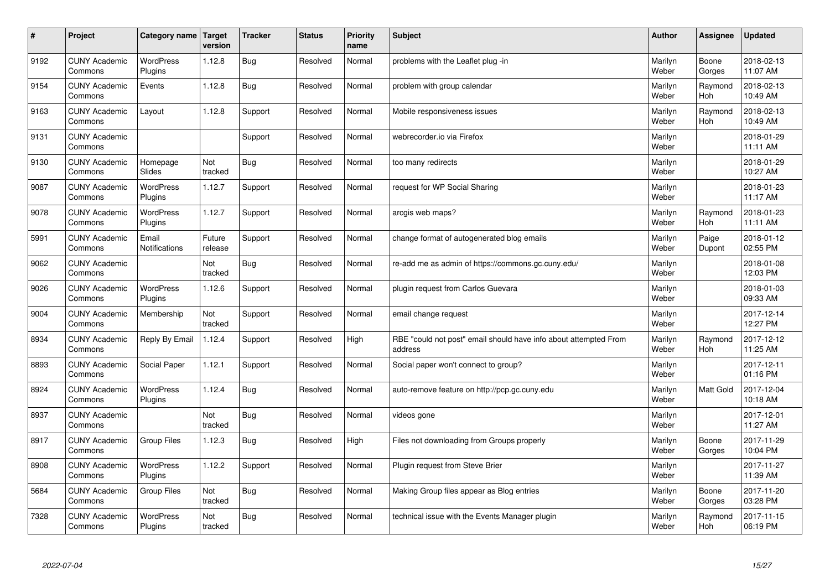| $\pmb{\sharp}$ | Project                         | Category name               | Target<br>version | <b>Tracker</b> | <b>Status</b> | <b>Priority</b><br>name | <b>Subject</b>                                                              | <b>Author</b>    | Assignee              | <b>Updated</b>         |
|----------------|---------------------------------|-----------------------------|-------------------|----------------|---------------|-------------------------|-----------------------------------------------------------------------------|------------------|-----------------------|------------------------|
| 9192           | <b>CUNY Academic</b><br>Commons | <b>WordPress</b><br>Plugins | 1.12.8            | <b>Bug</b>     | Resolved      | Normal                  | problems with the Leaflet plug -in                                          | Marilyn<br>Weber | Boone<br>Gorges       | 2018-02-13<br>11:07 AM |
| 9154           | <b>CUNY Academic</b><br>Commons | Events                      | 1.12.8            | Bug            | Resolved      | Normal                  | problem with group calendar                                                 | Marilyn<br>Weber | Raymond<br><b>Hoh</b> | 2018-02-13<br>10:49 AM |
| 9163           | <b>CUNY Academic</b><br>Commons | Layout                      | 1.12.8            | Support        | Resolved      | Normal                  | Mobile responsiveness issues                                                | Marilyn<br>Weber | Raymond<br><b>Hoh</b> | 2018-02-13<br>10:49 AM |
| 9131           | <b>CUNY Academic</b><br>Commons |                             |                   | Support        | Resolved      | Normal                  | webrecorder.io via Firefox                                                  | Marilyn<br>Weber |                       | 2018-01-29<br>11:11 AM |
| 9130           | <b>CUNY Academic</b><br>Commons | Homepage<br>Slides          | Not<br>tracked    | <b>Bug</b>     | Resolved      | Normal                  | too many redirects                                                          | Marilyn<br>Weber |                       | 2018-01-29<br>10:27 AM |
| 9087           | <b>CUNY Academic</b><br>Commons | <b>WordPress</b><br>Plugins | 1.12.7            | Support        | Resolved      | Normal                  | request for WP Social Sharing                                               | Marilyn<br>Weber |                       | 2018-01-23<br>11:17 AM |
| 9078           | <b>CUNY Academic</b><br>Commons | <b>WordPress</b><br>Plugins | 1.12.7            | Support        | Resolved      | Normal                  | arcgis web maps?                                                            | Marilyn<br>Weber | Raymond<br>Hoh        | 2018-01-23<br>11:11 AM |
| 5991           | <b>CUNY Academic</b><br>Commons | Email<br>Notifications      | Future<br>release | Support        | Resolved      | Normal                  | change format of autogenerated blog emails                                  | Marilyn<br>Weber | Paige<br>Dupont       | 2018-01-12<br>02:55 PM |
| 9062           | <b>CUNY Academic</b><br>Commons |                             | Not<br>tracked    | <b>Bug</b>     | Resolved      | Normal                  | re-add me as admin of https://commons.gc.cuny.edu/                          | Marilyn<br>Weber |                       | 2018-01-08<br>12:03 PM |
| 9026           | <b>CUNY Academic</b><br>Commons | <b>WordPress</b><br>Plugins | 1.12.6            | Support        | Resolved      | Normal                  | plugin request from Carlos Guevara                                          | Marilyn<br>Weber |                       | 2018-01-03<br>09:33 AM |
| 9004           | <b>CUNY Academic</b><br>Commons | Membership                  | Not<br>tracked    | Support        | Resolved      | Normal                  | email change request                                                        | Marilyn<br>Weber |                       | 2017-12-14<br>12:27 PM |
| 8934           | <b>CUNY Academic</b><br>Commons | Reply By Email              | 1.12.4            | Support        | Resolved      | High                    | RBE "could not post" email should have info about attempted From<br>address | Marilyn<br>Weber | Raymond<br><b>Hoh</b> | 2017-12-12<br>11:25 AM |
| 8893           | <b>CUNY Academic</b><br>Commons | Social Paper                | 1.12.1            | Support        | Resolved      | Normal                  | Social paper won't connect to group?                                        | Marilyn<br>Weber |                       | 2017-12-11<br>01:16 PM |
| 8924           | <b>CUNY Academic</b><br>Commons | <b>WordPress</b><br>Plugins | 1.12.4            | <b>Bug</b>     | Resolved      | Normal                  | auto-remove feature on http://pcp.gc.cuny.edu                               | Marilyn<br>Weber | <b>Matt Gold</b>      | 2017-12-04<br>10:18 AM |
| 8937           | <b>CUNY Academic</b><br>Commons |                             | Not<br>tracked    | <b>Bug</b>     | Resolved      | Normal                  | videos gone                                                                 | Marilyn<br>Weber |                       | 2017-12-01<br>11:27 AM |
| 8917           | <b>CUNY Academic</b><br>Commons | Group Files                 | 1.12.3            | <b>Bug</b>     | Resolved      | High                    | Files not downloading from Groups properly                                  | Marilyn<br>Weber | Boone<br>Gorges       | 2017-11-29<br>10:04 PM |
| 8908           | <b>CUNY Academic</b><br>Commons | <b>WordPress</b><br>Plugins | 1.12.2            | Support        | Resolved      | Normal                  | Plugin request from Steve Brier                                             | Marilyn<br>Weber |                       | 2017-11-27<br>11:39 AM |
| 5684           | <b>CUNY Academic</b><br>Commons | <b>Group Files</b>          | Not<br>tracked    | <b>Bug</b>     | Resolved      | Normal                  | Making Group files appear as Blog entries                                   | Marilyn<br>Weber | Boone<br>Gorges       | 2017-11-20<br>03:28 PM |
| 7328           | <b>CUNY Academic</b><br>Commons | <b>WordPress</b><br>Plugins | Not<br>tracked    | <b>Bug</b>     | Resolved      | Normal                  | technical issue with the Events Manager plugin                              | Marilyn<br>Weber | Raymond<br>Hoh        | 2017-11-15<br>06:19 PM |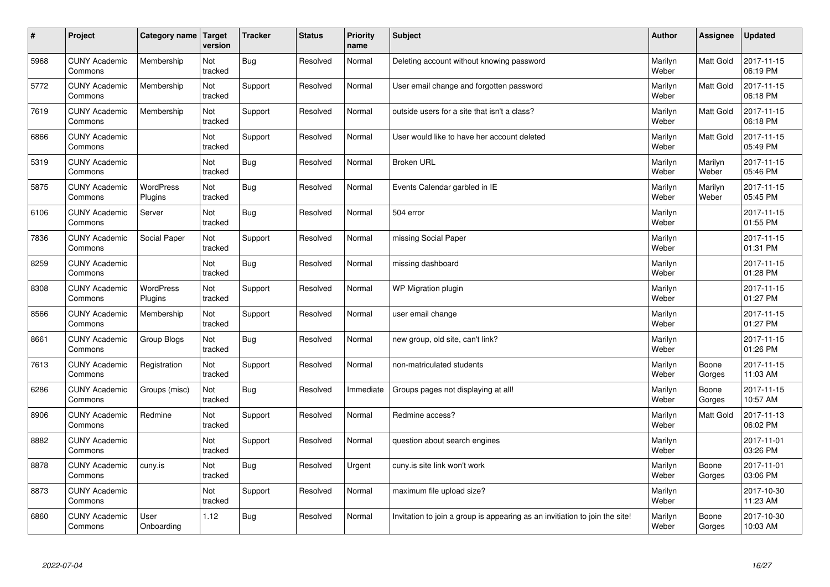| #    | Project                         | Category name               | Target<br>version | <b>Tracker</b> | <b>Status</b> | <b>Priority</b><br>name | <b>Subject</b>                                                              | <b>Author</b>    | Assignee         | <b>Updated</b>         |
|------|---------------------------------|-----------------------------|-------------------|----------------|---------------|-------------------------|-----------------------------------------------------------------------------|------------------|------------------|------------------------|
| 5968 | <b>CUNY Academic</b><br>Commons | Membership                  | Not<br>tracked    | <b>Bug</b>     | Resolved      | Normal                  | Deleting account without knowing password                                   | Marilyn<br>Weber | Matt Gold        | 2017-11-15<br>06:19 PM |
| 5772 | <b>CUNY Academic</b><br>Commons | Membership                  | Not<br>tracked    | Support        | Resolved      | Normal                  | User email change and forgotten password                                    | Marilyn<br>Weber | <b>Matt Gold</b> | 2017-11-15<br>06:18 PM |
| 7619 | <b>CUNY Academic</b><br>Commons | Membership                  | Not<br>tracked    | Support        | Resolved      | Normal                  | outside users for a site that isn't a class?                                | Marilyn<br>Weber | <b>Matt Gold</b> | 2017-11-15<br>06:18 PM |
| 6866 | <b>CUNY Academic</b><br>Commons |                             | Not<br>tracked    | Support        | Resolved      | Normal                  | User would like to have her account deleted                                 | Marilyn<br>Weber | Matt Gold        | 2017-11-15<br>05:49 PM |
| 5319 | <b>CUNY Academic</b><br>Commons |                             | Not<br>tracked    | <b>Bug</b>     | Resolved      | Normal                  | <b>Broken URL</b>                                                           | Marilyn<br>Weber | Marilyn<br>Weber | 2017-11-15<br>05:46 PM |
| 5875 | <b>CUNY Academic</b><br>Commons | <b>WordPress</b><br>Plugins | Not<br>tracked    | <b>Bug</b>     | Resolved      | Normal                  | Events Calendar garbled in IE                                               | Marilyn<br>Weber | Marilyn<br>Weber | 2017-11-15<br>05:45 PM |
| 6106 | <b>CUNY Academic</b><br>Commons | Server                      | Not<br>tracked    | <b>Bug</b>     | Resolved      | Normal                  | 504 error                                                                   | Marilyn<br>Weber |                  | 2017-11-15<br>01:55 PM |
| 7836 | <b>CUNY Academic</b><br>Commons | Social Paper                | Not<br>tracked    | Support        | Resolved      | Normal                  | missing Social Paper                                                        | Marilyn<br>Weber |                  | 2017-11-15<br>01:31 PM |
| 8259 | <b>CUNY Academic</b><br>Commons |                             | Not<br>tracked    | Bug            | Resolved      | Normal                  | missing dashboard                                                           | Marilyn<br>Weber |                  | 2017-11-15<br>01:28 PM |
| 8308 | <b>CUNY Academic</b><br>Commons | <b>WordPress</b><br>Plugins | Not<br>tracked    | Support        | Resolved      | Normal                  | WP Migration plugin                                                         | Marilyn<br>Weber |                  | 2017-11-15<br>01:27 PM |
| 8566 | <b>CUNY Academic</b><br>Commons | Membership                  | Not<br>tracked    | Support        | Resolved      | Normal                  | user email change                                                           | Marilyn<br>Weber |                  | 2017-11-15<br>01:27 PM |
| 8661 | <b>CUNY Academic</b><br>Commons | Group Blogs                 | Not<br>tracked    | <b>Bug</b>     | Resolved      | Normal                  | new group, old site, can't link?                                            | Marilyn<br>Weber |                  | 2017-11-15<br>01:26 PM |
| 7613 | <b>CUNY Academic</b><br>Commons | Registration                | Not<br>tracked    | Support        | Resolved      | Normal                  | non-matriculated students                                                   | Marilyn<br>Weber | Boone<br>Gorges  | 2017-11-15<br>11:03 AM |
| 6286 | <b>CUNY Academic</b><br>Commons | Groups (misc)               | Not<br>tracked    | <b>Bug</b>     | Resolved      | Immediate               | Groups pages not displaying at all!                                         | Marilyn<br>Weber | Boone<br>Gorges  | 2017-11-15<br>10:57 AM |
| 8906 | <b>CUNY Academic</b><br>Commons | Redmine                     | Not<br>tracked    | Support        | Resolved      | Normal                  | Redmine access?                                                             | Marilyn<br>Weber | Matt Gold        | 2017-11-13<br>06:02 PM |
| 8882 | <b>CUNY Academic</b><br>Commons |                             | Not<br>tracked    | Support        | Resolved      | Normal                  | question about search engines                                               | Marilyn<br>Weber |                  | 2017-11-01<br>03:26 PM |
| 8878 | <b>CUNY Academic</b><br>Commons | cuny.is                     | Not<br>tracked    | <b>Bug</b>     | Resolved      | Urgent                  | cuny.is site link won't work                                                | Marilyn<br>Weber | Boone<br>Gorges  | 2017-11-01<br>03:06 PM |
| 8873 | <b>CUNY Academic</b><br>Commons |                             | Not<br>tracked    | Support        | Resolved      | Normal                  | maximum file upload size?                                                   | Marilyn<br>Weber |                  | 2017-10-30<br>11:23 AM |
| 6860 | <b>CUNY Academic</b><br>Commons | User<br>Onboarding          | 1.12              | Bug            | Resolved      | Normal                  | Invitation to join a group is appearing as an invitiation to join the site! | Marilyn<br>Weber | Boone<br>Gorges  | 2017-10-30<br>10:03 AM |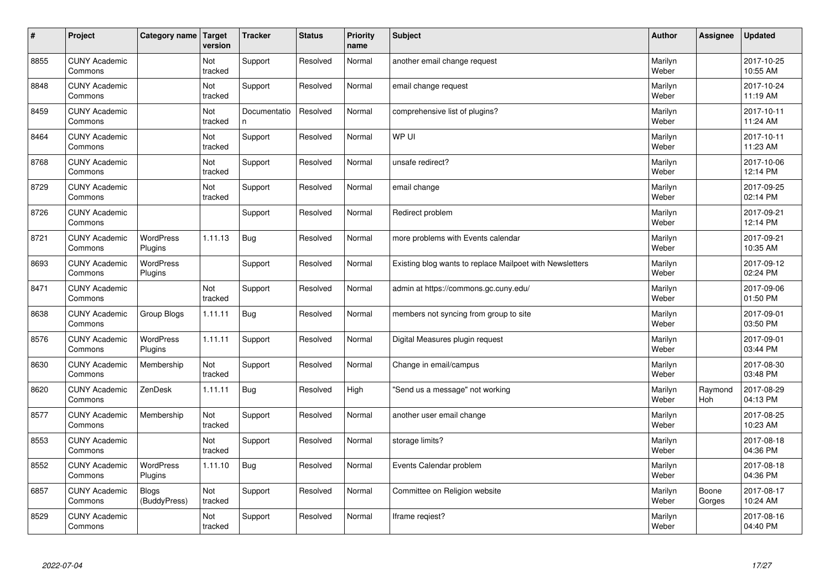| $\sharp$ | Project                         | Category name                | <b>Target</b><br>version | <b>Tracker</b>    | <b>Status</b> | <b>Priority</b><br>name | <b>Subject</b>                                           | <b>Author</b>    | Assignee        | <b>Updated</b>         |
|----------|---------------------------------|------------------------------|--------------------------|-------------------|---------------|-------------------------|----------------------------------------------------------|------------------|-----------------|------------------------|
| 8855     | <b>CUNY Academic</b><br>Commons |                              | Not<br>tracked           | Support           | Resolved      | Normal                  | another email change request                             | Marilyn<br>Weber |                 | 2017-10-25<br>10:55 AM |
| 8848     | <b>CUNY Academic</b><br>Commons |                              | Not<br>tracked           | Support           | Resolved      | Normal                  | email change request                                     | Marilyn<br>Weber |                 | 2017-10-24<br>11:19 AM |
| 8459     | <b>CUNY Academic</b><br>Commons |                              | Not<br>tracked           | Documentatio<br>n | Resolved      | Normal                  | comprehensive list of plugins?                           | Marilyn<br>Weber |                 | 2017-10-11<br>11:24 AM |
| 8464     | <b>CUNY Academic</b><br>Commons |                              | Not<br>tracked           | Support           | Resolved      | Normal                  | WP UI                                                    | Marilyn<br>Weber |                 | 2017-10-11<br>11:23 AM |
| 8768     | <b>CUNY Academic</b><br>Commons |                              | Not<br>tracked           | Support           | Resolved      | Normal                  | unsafe redirect?                                         | Marilyn<br>Weber |                 | 2017-10-06<br>12:14 PM |
| 8729     | <b>CUNY Academic</b><br>Commons |                              | Not<br>tracked           | Support           | Resolved      | Normal                  | email change                                             | Marilyn<br>Weber |                 | 2017-09-25<br>02:14 PM |
| 8726     | <b>CUNY Academic</b><br>Commons |                              |                          | Support           | Resolved      | Normal                  | Redirect problem                                         | Marilyn<br>Weber |                 | 2017-09-21<br>12:14 PM |
| 8721     | <b>CUNY Academic</b><br>Commons | <b>WordPress</b><br>Plugins  | 1.11.13                  | Bug               | Resolved      | Normal                  | more problems with Events calendar                       | Marilyn<br>Weber |                 | 2017-09-21<br>10:35 AM |
| 8693     | <b>CUNY Academic</b><br>Commons | <b>WordPress</b><br>Plugins  |                          | Support           | Resolved      | Normal                  | Existing blog wants to replace Mailpoet with Newsletters | Marilyn<br>Weber |                 | 2017-09-12<br>02:24 PM |
| 8471     | <b>CUNY Academic</b><br>Commons |                              | Not<br>tracked           | Support           | Resolved      | Normal                  | admin at https://commons.gc.cuny.edu/                    | Marilyn<br>Weber |                 | 2017-09-06<br>01:50 PM |
| 8638     | <b>CUNY Academic</b><br>Commons | Group Blogs                  | 1.11.11                  | Bug               | Resolved      | Normal                  | members not syncing from group to site                   | Marilyn<br>Weber |                 | 2017-09-01<br>03:50 PM |
| 8576     | <b>CUNY Academic</b><br>Commons | <b>WordPress</b><br>Plugins  | 1.11.11                  | Support           | Resolved      | Normal                  | Digital Measures plugin request                          | Marilyn<br>Weber |                 | 2017-09-01<br>03:44 PM |
| 8630     | <b>CUNY Academic</b><br>Commons | Membership                   | Not<br>tracked           | Support           | Resolved      | Normal                  | Change in email/campus                                   | Marilyn<br>Weber |                 | 2017-08-30<br>03:48 PM |
| 8620     | <b>CUNY Academic</b><br>Commons | ZenDesk                      | 1.11.11                  | <b>Bug</b>        | Resolved      | High                    | "Send us a message" not working                          | Marilyn<br>Weber | Raymond<br>Hoh  | 2017-08-29<br>04:13 PM |
| 8577     | <b>CUNY Academic</b><br>Commons | Membership                   | Not<br>tracked           | Support           | Resolved      | Normal                  | another user email change                                | Marilyn<br>Weber |                 | 2017-08-25<br>10:23 AM |
| 8553     | <b>CUNY Academic</b><br>Commons |                              | Not<br>tracked           | Support           | Resolved      | Normal                  | storage limits?                                          | Marilyn<br>Weber |                 | 2017-08-18<br>04:36 PM |
| 8552     | <b>CUNY Academic</b><br>Commons | <b>WordPress</b><br>Plugins  | 1.11.10                  | <b>Bug</b>        | Resolved      | Normal                  | Events Calendar problem                                  | Marilyn<br>Weber |                 | 2017-08-18<br>04:36 PM |
| 6857     | <b>CUNY Academic</b><br>Commons | <b>Blogs</b><br>(BuddyPress) | Not<br>tracked           | Support           | Resolved      | Normal                  | Committee on Religion website                            | Marilyn<br>Weber | Boone<br>Gorges | 2017-08-17<br>10:24 AM |
| 8529     | <b>CUNY Academic</b><br>Commons |                              | Not<br>tracked           | Support           | Resolved      | Normal                  | lframe regiest?                                          | Marilyn<br>Weber |                 | 2017-08-16<br>04:40 PM |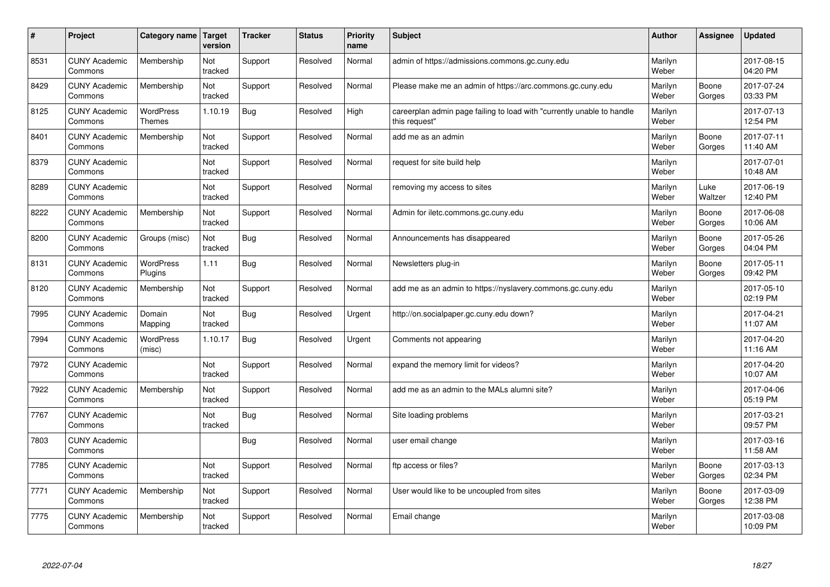| #    | Project                         | Category name                     | <b>Target</b><br>version | <b>Tracker</b> | <b>Status</b> | <b>Priority</b><br>name | <b>Subject</b>                                                                          | <b>Author</b>    | <b>Assignee</b> | <b>Updated</b>         |
|------|---------------------------------|-----------------------------------|--------------------------|----------------|---------------|-------------------------|-----------------------------------------------------------------------------------------|------------------|-----------------|------------------------|
| 8531 | <b>CUNY Academic</b><br>Commons | Membership                        | Not<br>tracked           | Support        | Resolved      | Normal                  | admin of https://admissions.commons.gc.cuny.edu                                         | Marilyn<br>Weber |                 | 2017-08-15<br>04:20 PM |
| 8429 | <b>CUNY Academic</b><br>Commons | Membership                        | Not<br>tracked           | Support        | Resolved      | Normal                  | Please make me an admin of https://arc.commons.gc.cuny.edu                              | Marilyn<br>Weber | Boone<br>Gorges | 2017-07-24<br>03:33 PM |
| 8125 | <b>CUNY Academic</b><br>Commons | <b>WordPress</b><br><b>Themes</b> | 1.10.19                  | <b>Bug</b>     | Resolved      | High                    | careerplan admin page failing to load with "currently unable to handle<br>this request" | Marilyn<br>Weber |                 | 2017-07-13<br>12:54 PM |
| 8401 | <b>CUNY Academic</b><br>Commons | Membership                        | Not<br>tracked           | Support        | Resolved      | Normal                  | add me as an admin                                                                      | Marilyn<br>Weber | Boone<br>Gorges | 2017-07-11<br>11:40 AM |
| 8379 | <b>CUNY Academic</b><br>Commons |                                   | Not<br>tracked           | Support        | Resolved      | Normal                  | request for site build help                                                             | Marilyn<br>Weber |                 | 2017-07-01<br>10:48 AM |
| 8289 | <b>CUNY Academic</b><br>Commons |                                   | Not<br>tracked           | Support        | Resolved      | Normal                  | removing my access to sites                                                             | Marilyn<br>Weber | Luke<br>Waltzer | 2017-06-19<br>12:40 PM |
| 8222 | <b>CUNY Academic</b><br>Commons | Membership                        | Not<br>tracked           | Support        | Resolved      | Normal                  | Admin for iletc.commons.gc.cuny.edu                                                     | Marilyn<br>Weber | Boone<br>Gorges | 2017-06-08<br>10:06 AM |
| 8200 | <b>CUNY Academic</b><br>Commons | Groups (misc)                     | Not<br>tracked           | Bug            | Resolved      | Normal                  | Announcements has disappeared                                                           | Marilyn<br>Weber | Boone<br>Gorges | 2017-05-26<br>04:04 PM |
| 8131 | <b>CUNY Academic</b><br>Commons | <b>WordPress</b><br>Plugins       | 1.11                     | Bug            | Resolved      | Normal                  | Newsletters plug-in                                                                     | Marilyn<br>Weber | Boone<br>Gorges | 2017-05-11<br>09:42 PM |
| 8120 | <b>CUNY Academic</b><br>Commons | Membership                        | Not<br>tracked           | Support        | Resolved      | Normal                  | add me as an admin to https://nyslavery.commons.gc.cuny.edu                             | Marilyn<br>Weber |                 | 2017-05-10<br>02:19 PM |
| 7995 | <b>CUNY Academic</b><br>Commons | Domain<br>Mapping                 | Not<br>tracked           | Bug            | Resolved      | Urgent                  | http://on.socialpaper.gc.cuny.edu down?                                                 | Marilyn<br>Weber |                 | 2017-04-21<br>11:07 AM |
| 7994 | <b>CUNY Academic</b><br>Commons | <b>WordPress</b><br>(misc)        | 1.10.17                  | <b>Bug</b>     | Resolved      | Urgent                  | Comments not appearing                                                                  | Marilyn<br>Weber |                 | 2017-04-20<br>11:16 AM |
| 7972 | <b>CUNY Academic</b><br>Commons |                                   | Not<br>tracked           | Support        | Resolved      | Normal                  | expand the memory limit for videos?                                                     | Marilyn<br>Weber |                 | 2017-04-20<br>10:07 AM |
| 7922 | <b>CUNY Academic</b><br>Commons | Membership                        | Not<br>tracked           | Support        | Resolved      | Normal                  | add me as an admin to the MALs alumni site?                                             | Marilyn<br>Weber |                 | 2017-04-06<br>05:19 PM |
| 7767 | <b>CUNY Academic</b><br>Commons |                                   | Not<br>tracked           | Bug            | Resolved      | Normal                  | Site loading problems                                                                   | Marilyn<br>Weber |                 | 2017-03-21<br>09:57 PM |
| 7803 | <b>CUNY Academic</b><br>Commons |                                   |                          | Bug            | Resolved      | Normal                  | user email change                                                                       | Marilyn<br>Weber |                 | 2017-03-16<br>11:58 AM |
| 7785 | <b>CUNY Academic</b><br>Commons |                                   | Not<br>tracked           | Support        | Resolved      | Normal                  | ftp access or files?                                                                    | Marilyn<br>Weber | Boone<br>Gorges | 2017-03-13<br>02:34 PM |
| 7771 | <b>CUNY Academic</b><br>Commons | Membership                        | Not<br>tracked           | Support        | Resolved      | Normal                  | User would like to be uncoupled from sites                                              | Marilyn<br>Weber | Boone<br>Gorges | 2017-03-09<br>12:38 PM |
| 7775 | <b>CUNY Academic</b><br>Commons | Membership                        | Not<br>tracked           | Support        | Resolved      | Normal                  | Email change                                                                            | Marilyn<br>Weber |                 | 2017-03-08<br>10:09 PM |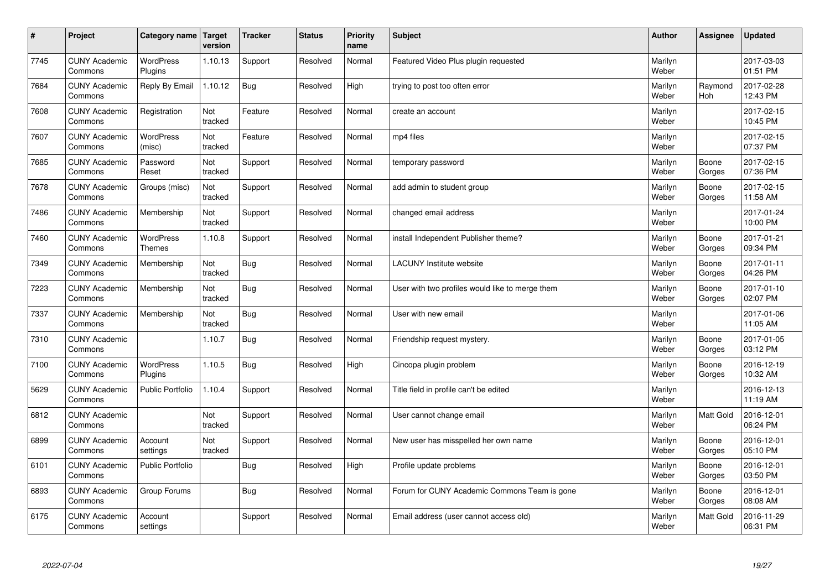| $\sharp$ | Project                         | Category name   Target      | version        | <b>Tracker</b> | <b>Status</b> | <b>Priority</b><br>name | <b>Subject</b>                                  | <b>Author</b>    | Assignee         | <b>Updated</b>         |
|----------|---------------------------------|-----------------------------|----------------|----------------|---------------|-------------------------|-------------------------------------------------|------------------|------------------|------------------------|
| 7745     | <b>CUNY Academic</b><br>Commons | <b>WordPress</b><br>Plugins | 1.10.13        | Support        | Resolved      | Normal                  | Featured Video Plus plugin requested            | Marilyn<br>Weber |                  | 2017-03-03<br>01:51 PM |
| 7684     | <b>CUNY Academic</b><br>Commons | Reply By Email              | 1.10.12        | Bug            | Resolved      | High                    | trying to post too often error                  | Marilyn<br>Weber | Raymond<br>Hoh   | 2017-02-28<br>12:43 PM |
| 7608     | <b>CUNY Academic</b><br>Commons | Registration                | Not<br>tracked | Feature        | Resolved      | Normal                  | create an account                               | Marilyn<br>Weber |                  | 2017-02-15<br>10:45 PM |
| 7607     | <b>CUNY Academic</b><br>Commons | <b>WordPress</b><br>(misc)  | Not<br>tracked | Feature        | Resolved      | Normal                  | mp4 files                                       | Marilyn<br>Weber |                  | 2017-02-15<br>07:37 PM |
| 7685     | <b>CUNY Academic</b><br>Commons | Password<br>Reset           | Not<br>tracked | Support        | Resolved      | Normal                  | temporary password                              | Marilyn<br>Weber | Boone<br>Gorges  | 2017-02-15<br>07:36 PM |
| 7678     | <b>CUNY Academic</b><br>Commons | Groups (misc)               | Not<br>tracked | Support        | Resolved      | Normal                  | add admin to student group                      | Marilyn<br>Weber | Boone<br>Gorges  | 2017-02-15<br>11:58 AM |
| 7486     | <b>CUNY Academic</b><br>Commons | Membership                  | Not<br>tracked | Support        | Resolved      | Normal                  | changed email address                           | Marilyn<br>Weber |                  | 2017-01-24<br>10:00 PM |
| 7460     | <b>CUNY Academic</b><br>Commons | WordPress<br><b>Themes</b>  | 1.10.8         | Support        | Resolved      | Normal                  | install Independent Publisher theme?            | Marilyn<br>Weber | Boone<br>Gorges  | 2017-01-21<br>09:34 PM |
| 7349     | <b>CUNY Academic</b><br>Commons | Membership                  | Not<br>tracked | Bug            | Resolved      | Normal                  | <b>LACUNY</b> Institute website                 | Marilyn<br>Weber | Boone<br>Gorges  | 2017-01-11<br>04:26 PM |
| 7223     | <b>CUNY Academic</b><br>Commons | Membership                  | Not<br>tracked | Bug            | Resolved      | Normal                  | User with two profiles would like to merge them | Marilyn<br>Weber | Boone<br>Gorges  | 2017-01-10<br>02:07 PM |
| 7337     | <b>CUNY Academic</b><br>Commons | Membership                  | Not<br>tracked | Bug            | Resolved      | Normal                  | User with new email                             | Marilyn<br>Weber |                  | 2017-01-06<br>11:05 AM |
| 7310     | <b>CUNY Academic</b><br>Commons |                             | 1.10.7         | Bug            | Resolved      | Normal                  | Friendship request mystery.                     | Marilyn<br>Weber | Boone<br>Gorges  | 2017-01-05<br>03:12 PM |
| 7100     | <b>CUNY Academic</b><br>Commons | <b>WordPress</b><br>Plugins | 1.10.5         | Bug            | Resolved      | High                    | Cincopa plugin problem                          | Marilyn<br>Weber | Boone<br>Gorges  | 2016-12-19<br>10:32 AM |
| 5629     | <b>CUNY Academic</b><br>Commons | <b>Public Portfolio</b>     | 1.10.4         | Support        | Resolved      | Normal                  | Title field in profile can't be edited          | Marilyn<br>Weber |                  | 2016-12-13<br>11:19 AM |
| 6812     | <b>CUNY Academic</b><br>Commons |                             | Not<br>tracked | Support        | Resolved      | Normal                  | User cannot change email                        | Marilyn<br>Weber | Matt Gold        | 2016-12-01<br>06:24 PM |
| 6899     | <b>CUNY Academic</b><br>Commons | Account<br>settings         | Not<br>tracked | Support        | Resolved      | Normal                  | New user has misspelled her own name            | Marilyn<br>Weber | Boone<br>Gorges  | 2016-12-01<br>05:10 PM |
| 6101     | <b>CUNY Academic</b><br>Commons | <b>Public Portfolio</b>     |                | Bug            | Resolved      | High                    | Profile update problems                         | Marilyn<br>Weber | Boone<br>Gorges  | 2016-12-01<br>03:50 PM |
| 6893     | <b>CUNY Academic</b><br>Commons | Group Forums                |                | Bug            | Resolved      | Normal                  | Forum for CUNY Academic Commons Team is gone    | Marilyn<br>Weber | Boone<br>Gorges  | 2016-12-01<br>08:08 AM |
| 6175     | <b>CUNY Academic</b><br>Commons | Account<br>settings         |                | Support        | Resolved      | Normal                  | Email address (user cannot access old)          | Marilyn<br>Weber | <b>Matt Gold</b> | 2016-11-29<br>06:31 PM |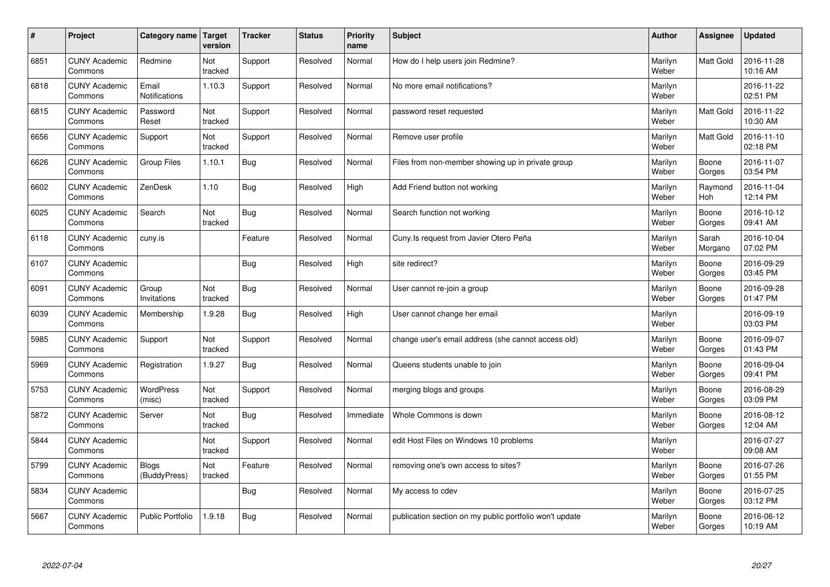| $\vert$ # | Project                         | Category name   Target        | version        | <b>Tracker</b> | <b>Status</b> | <b>Priority</b><br>name | <b>Subject</b>                                          | <b>Author</b>    | Assignee              | <b>Updated</b>         |
|-----------|---------------------------------|-------------------------------|----------------|----------------|---------------|-------------------------|---------------------------------------------------------|------------------|-----------------------|------------------------|
| 6851      | <b>CUNY Academic</b><br>Commons | Redmine                       | Not<br>tracked | Support        | Resolved      | Normal                  | How do I help users join Redmine?                       | Marilyn<br>Weber | <b>Matt Gold</b>      | 2016-11-28<br>10:16 AM |
| 6818      | <b>CUNY Academic</b><br>Commons | Email<br><b>Notifications</b> | 1.10.3         | Support        | Resolved      | Normal                  | No more email notifications?                            | Marilyn<br>Weber |                       | 2016-11-22<br>02:51 PM |
| 6815      | <b>CUNY Academic</b><br>Commons | Password<br>Reset             | Not<br>tracked | Support        | Resolved      | Normal                  | password reset requested                                | Marilyn<br>Weber | <b>Matt Gold</b>      | 2016-11-22<br>10:30 AM |
| 6656      | <b>CUNY Academic</b><br>Commons | Support                       | Not<br>tracked | Support        | Resolved      | Normal                  | Remove user profile                                     | Marilyn<br>Weber | Matt Gold             | 2016-11-10<br>02:18 PM |
| 6626      | <b>CUNY Academic</b><br>Commons | <b>Group Files</b>            | 1.10.1         | Bug            | Resolved      | Normal                  | Files from non-member showing up in private group       | Marilyn<br>Weber | Boone<br>Gorges       | 2016-11-07<br>03:54 PM |
| 6602      | <b>CUNY Academic</b><br>Commons | ZenDesk                       | 1.10           | Bug            | Resolved      | High                    | Add Friend button not working                           | Marilyn<br>Weber | Raymond<br><b>Hoh</b> | 2016-11-04<br>12:14 PM |
| 6025      | <b>CUNY Academic</b><br>Commons | Search                        | Not<br>tracked | Bug            | Resolved      | Normal                  | Search function not working                             | Marilyn<br>Weber | Boone<br>Gorges       | 2016-10-12<br>09:41 AM |
| 6118      | <b>CUNY Academic</b><br>Commons | cuny.is                       |                | Feature        | Resolved      | Normal                  | Cuny.Is request from Javier Otero Peña                  | Marilyn<br>Weber | Sarah<br>Morgano      | 2016-10-04<br>07:02 PM |
| 6107      | <b>CUNY Academic</b><br>Commons |                               |                | Bug            | Resolved      | High                    | site redirect?                                          | Marilyn<br>Weber | Boone<br>Gorges       | 2016-09-29<br>03:45 PM |
| 6091      | <b>CUNY Academic</b><br>Commons | Group<br>Invitations          | Not<br>tracked | <b>Bug</b>     | Resolved      | Normal                  | User cannot re-join a group                             | Marilyn<br>Weber | Boone<br>Gorges       | 2016-09-28<br>01:47 PM |
| 6039      | <b>CUNY Academic</b><br>Commons | Membership                    | 1.9.28         | Bug            | Resolved      | High                    | User cannot change her email                            | Marilyn<br>Weber |                       | 2016-09-19<br>03:03 PM |
| 5985      | <b>CUNY Academic</b><br>Commons | Support                       | Not<br>tracked | Support        | Resolved      | Normal                  | change user's email address (she cannot access old)     | Marilyn<br>Weber | Boone<br>Gorges       | 2016-09-07<br>01:43 PM |
| 5969      | <b>CUNY Academic</b><br>Commons | Registration                  | 1.9.27         | <b>Bug</b>     | Resolved      | Normal                  | Queens students unable to join                          | Marilyn<br>Weber | Boone<br>Gorges       | 2016-09-04<br>09:41 PM |
| 5753      | <b>CUNY Academic</b><br>Commons | WordPress<br>(misc)           | Not<br>tracked | Support        | Resolved      | Normal                  | merging blogs and groups                                | Marilyn<br>Weber | Boone<br>Gorges       | 2016-08-29<br>03:09 PM |
| 5872      | <b>CUNY Academic</b><br>Commons | Server                        | Not<br>tracked | Bug            | Resolved      | Immediate               | Whole Commons is down                                   | Marilyn<br>Weber | Boone<br>Gorges       | 2016-08-12<br>12:04 AM |
| 5844      | <b>CUNY Academic</b><br>Commons |                               | Not<br>tracked | Support        | Resolved      | Normal                  | edit Host Files on Windows 10 problems                  | Marilyn<br>Weber |                       | 2016-07-27<br>09:08 AM |
| 5799      | <b>CUNY Academic</b><br>Commons | <b>Blogs</b><br>(BuddyPress)  | Not<br>tracked | Feature        | Resolved      | Normal                  | removing one's own access to sites?                     | Marilyn<br>Weber | Boone<br>Gorges       | 2016-07-26<br>01:55 PM |
| 5834      | <b>CUNY Academic</b><br>Commons |                               |                | Bug            | Resolved      | Normal                  | My access to cdev                                       | Marilyn<br>Weber | Boone<br>Gorges       | 2016-07-25<br>03:12 PM |
| 5667      | <b>CUNY Academic</b><br>Commons | <b>Public Portfolio</b>       | .9.18          | Bug            | Resolved      | Normal                  | publication section on my public portfolio won't update | Marilyn<br>Weber | Boone<br>Gorges       | 2016-06-12<br>10:19 AM |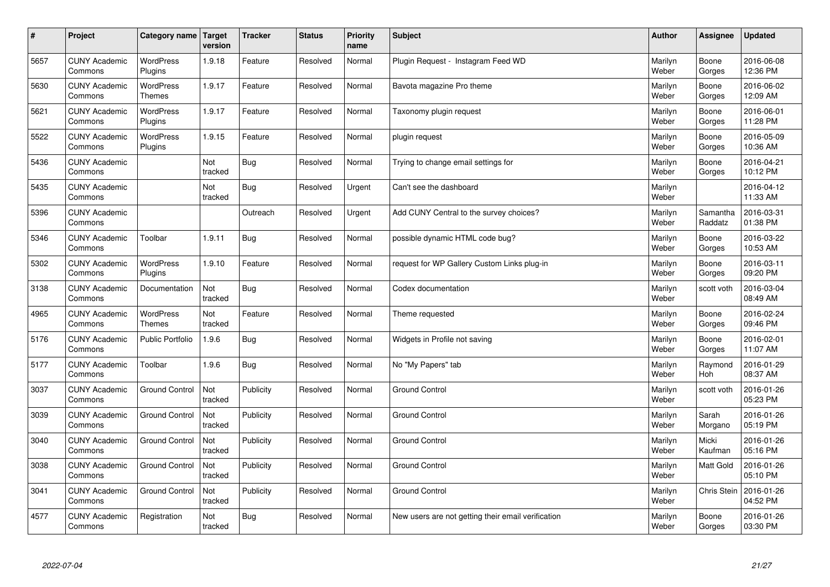| $\sharp$ | Project                         | Category name   Target      | version        | <b>Tracker</b> | <b>Status</b> | <b>Priority</b><br>name | <b>Subject</b>                                     | <b>Author</b>    | Assignee            | <b>Updated</b>         |
|----------|---------------------------------|-----------------------------|----------------|----------------|---------------|-------------------------|----------------------------------------------------|------------------|---------------------|------------------------|
| 5657     | <b>CUNY Academic</b><br>Commons | <b>WordPress</b><br>Plugins | 1.9.18         | Feature        | Resolved      | Normal                  | Plugin Reguest - Instagram Feed WD                 | Marilyn<br>Weber | Boone<br>Gorges     | 2016-06-08<br>12:36 PM |
| 5630     | <b>CUNY Academic</b><br>Commons | WordPress<br><b>Themes</b>  | 1.9.17         | Feature        | Resolved      | Normal                  | Bavota magazine Pro theme                          | Marilyn<br>Weber | Boone<br>Gorges     | 2016-06-02<br>12:09 AM |
| 5621     | <b>CUNY Academic</b><br>Commons | <b>WordPress</b><br>Plugins | 1.9.17         | Feature        | Resolved      | Normal                  | Taxonomy plugin request                            | Marilyn<br>Weber | Boone<br>Gorges     | 2016-06-01<br>11:28 PM |
| 5522     | <b>CUNY Academic</b><br>Commons | <b>WordPress</b><br>Plugins | 1.9.15         | Feature        | Resolved      | Normal                  | plugin request                                     | Marilyn<br>Weber | Boone<br>Gorges     | 2016-05-09<br>10:36 AM |
| 5436     | <b>CUNY Academic</b><br>Commons |                             | Not<br>tracked | Bug            | Resolved      | Normal                  | Trying to change email settings for                | Marilyn<br>Weber | Boone<br>Gorges     | 2016-04-21<br>10:12 PM |
| 5435     | <b>CUNY Academic</b><br>Commons |                             | Not<br>tracked | Bug            | Resolved      | Urgent                  | Can't see the dashboard                            | Marilyn<br>Weber |                     | 2016-04-12<br>11:33 AM |
| 5396     | <b>CUNY Academic</b><br>Commons |                             |                | Outreach       | Resolved      | Urgent                  | Add CUNY Central to the survey choices?            | Marilyn<br>Weber | Samantha<br>Raddatz | 2016-03-31<br>01:38 PM |
| 5346     | <b>CUNY Academic</b><br>Commons | Toolbar                     | 1.9.11         | Bug            | Resolved      | Normal                  | possible dynamic HTML code bug?                    | Marilyn<br>Weber | Boone<br>Gorges     | 2016-03-22<br>10:53 AM |
| 5302     | <b>CUNY Academic</b><br>Commons | <b>WordPress</b><br>Plugins | 1.9.10         | Feature        | Resolved      | Normal                  | request for WP Gallery Custom Links plug-in        | Marilyn<br>Weber | Boone<br>Gorges     | 2016-03-11<br>09:20 PM |
| 3138     | <b>CUNY Academic</b><br>Commons | Documentation               | Not<br>tracked | Bug            | Resolved      | Normal                  | Codex documentation                                | Marilyn<br>Weber | scott voth          | 2016-03-04<br>08:49 AM |
| 4965     | <b>CUNY Academic</b><br>Commons | WordPress<br><b>Themes</b>  | Not<br>tracked | Feature        | Resolved      | Normal                  | Theme requested                                    | Marilyn<br>Weber | Boone<br>Gorges     | 2016-02-24<br>09:46 PM |
| 5176     | <b>CUNY Academic</b><br>Commons | <b>Public Portfolio</b>     | 1.9.6          | Bug            | Resolved      | Normal                  | Widgets in Profile not saving                      | Marilyn<br>Weber | Boone<br>Gorges     | 2016-02-01<br>11:07 AM |
| 5177     | <b>CUNY Academic</b><br>Commons | Toolbar                     | 1.9.6          | Bug            | Resolved      | Normal                  | No "My Papers" tab                                 | Marilyn<br>Weber | Raymond<br>Hoh      | 2016-01-29<br>08:37 AM |
| 3037     | <b>CUNY Academic</b><br>Commons | <b>Ground Control</b>       | Not<br>tracked | Publicity      | Resolved      | Normal                  | <b>Ground Control</b>                              | Marilyn<br>Weber | scott voth          | 2016-01-26<br>05:23 PM |
| 3039     | <b>CUNY Academic</b><br>Commons | <b>Ground Control</b>       | Not<br>tracked | Publicity      | Resolved      | Normal                  | <b>Ground Control</b>                              | Marilyn<br>Weber | Sarah<br>Morgano    | 2016-01-26<br>05:19 PM |
| 3040     | <b>CUNY Academic</b><br>Commons | <b>Ground Control</b>       | Not<br>tracked | Publicity      | Resolved      | Normal                  | <b>Ground Control</b>                              | Marilyn<br>Weber | Micki<br>Kaufman    | 2016-01-26<br>05:16 PM |
| 3038     | <b>CUNY Academic</b><br>Commons | <b>Ground Control</b>       | Not<br>tracked | Publicity      | Resolved      | Normal                  | <b>Ground Control</b>                              | Marilyn<br>Weber | Matt Gold           | 2016-01-26<br>05:10 PM |
| 3041     | <b>CUNY Academic</b><br>Commons | <b>Ground Control</b>       | Not<br>tracked | Publicity      | Resolved      | Normal                  | <b>Ground Control</b>                              | Marilyn<br>Weber | Chris Stein         | 2016-01-26<br>04:52 PM |
| 4577     | <b>CUNY Academic</b><br>Commons | Registration                | Not<br>tracked | Bug            | Resolved      | Normal                  | New users are not getting their email verification | Marilyn<br>Weber | Boone<br>Gorges     | 2016-01-26<br>03:30 PM |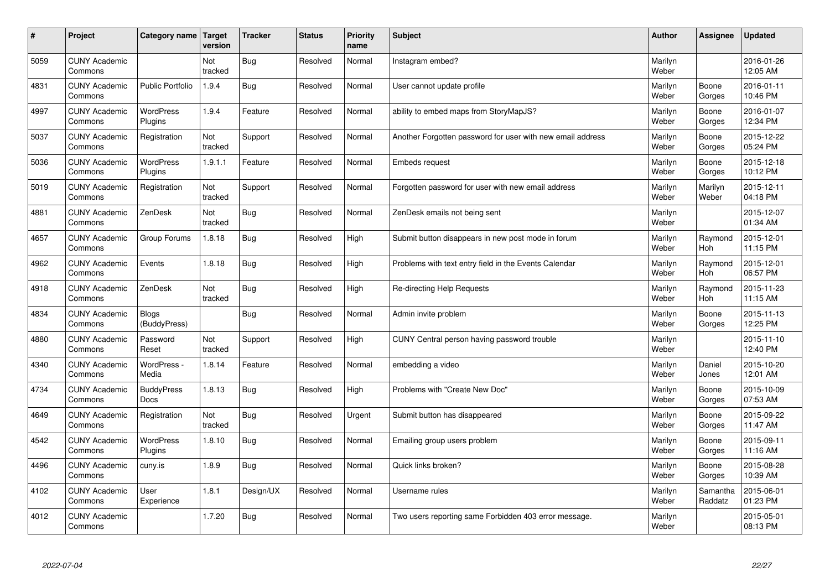| #    | Project                         | Category name   Target           | version        | <b>Tracker</b> | <b>Status</b> | <b>Priority</b><br>name | <b>Subject</b>                                             | <b>Author</b>    | Assignee              | <b>Updated</b>         |
|------|---------------------------------|----------------------------------|----------------|----------------|---------------|-------------------------|------------------------------------------------------------|------------------|-----------------------|------------------------|
| 5059 | <b>CUNY Academic</b><br>Commons |                                  | Not<br>tracked | Bug            | Resolved      | Normal                  | Instagram embed?                                           | Marilyn<br>Weber |                       | 2016-01-26<br>12:05 AM |
| 4831 | <b>CUNY Academic</b><br>Commons | <b>Public Portfolio</b>          | 1.9.4          | Bug            | Resolved      | Normal                  | User cannot update profile                                 | Marilyn<br>Weber | Boone<br>Gorges       | 2016-01-11<br>10:46 PM |
| 4997 | <b>CUNY Academic</b><br>Commons | <b>WordPress</b><br>Plugins      | 1.9.4          | Feature        | Resolved      | Normal                  | ability to embed maps from StoryMapJS?                     | Marilyn<br>Weber | Boone<br>Gorges       | 2016-01-07<br>12:34 PM |
| 5037 | <b>CUNY Academic</b><br>Commons | Registration                     | Not<br>tracked | Support        | Resolved      | Normal                  | Another Forgotten password for user with new email address | Marilyn<br>Weber | Boone<br>Gorges       | 2015-12-22<br>05:24 PM |
| 5036 | <b>CUNY Academic</b><br>Commons | <b>WordPress</b><br>Plugins      | 1.9.1.1        | Feature        | Resolved      | Normal                  | Embeds request                                             | Marilyn<br>Weber | Boone<br>Gorges       | 2015-12-18<br>10:12 PM |
| 5019 | <b>CUNY Academic</b><br>Commons | Registration                     | Not<br>tracked | Support        | Resolved      | Normal                  | Forgotten password for user with new email address         | Marilyn<br>Weber | Marilyn<br>Weber      | 2015-12-11<br>04:18 PM |
| 4881 | <b>CUNY Academic</b><br>Commons | ZenDesk                          | Not<br>tracked | Bug            | Resolved      | Normal                  | ZenDesk emails not being sent                              | Marilyn<br>Weber |                       | 2015-12-07<br>01:34 AM |
| 4657 | <b>CUNY Academic</b><br>Commons | Group Forums                     | 1.8.18         | Bug            | Resolved      | High                    | Submit button disappears in new post mode in forum         | Marilyn<br>Weber | Raymond<br>Hoh        | 2015-12-01<br>11:15 PM |
| 4962 | <b>CUNY Academic</b><br>Commons | Events                           | 1.8.18         | Bug            | Resolved      | High                    | Problems with text entry field in the Events Calendar      | Marilyn<br>Weber | Raymond<br>Hoh        | 2015-12-01<br>06:57 PM |
| 4918 | <b>CUNY Academic</b><br>Commons | ZenDesk                          | Not<br>tracked | Bug            | Resolved      | High                    | Re-directing Help Requests                                 | Marilyn<br>Weber | Raymond<br><b>Hoh</b> | 2015-11-23<br>11:15 AM |
| 4834 | <b>CUNY Academic</b><br>Commons | <b>Blogs</b><br>(BuddyPress)     |                | Bug            | Resolved      | Normal                  | Admin invite problem                                       | Marilyn<br>Weber | Boone<br>Gorges       | 2015-11-13<br>12:25 PM |
| 4880 | <b>CUNY Academic</b><br>Commons | Password<br>Reset                | Not<br>tracked | Support        | Resolved      | High                    | CUNY Central person having password trouble                | Marilyn<br>Weber |                       | 2015-11-10<br>12:40 PM |
| 4340 | <b>CUNY Academic</b><br>Commons | WordPress -<br>Media             | 1.8.14         | Feature        | Resolved      | Normal                  | embedding a video                                          | Marilyn<br>Weber | Daniel<br>Jones       | 2015-10-20<br>12:01 AM |
| 4734 | <b>CUNY Academic</b><br>Commons | <b>BuddyPress</b><br><b>Docs</b> | 1.8.13         | Bug            | Resolved      | High                    | Problems with "Create New Doc"                             | Marilyn<br>Weber | Boone<br>Gorges       | 2015-10-09<br>07:53 AM |
| 4649 | <b>CUNY Academic</b><br>Commons | Registration                     | Not<br>tracked | Bug            | Resolved      | Urgent                  | Submit button has disappeared                              | Marilyn<br>Weber | Boone<br>Gorges       | 2015-09-22<br>11:47 AM |
| 4542 | <b>CUNY Academic</b><br>Commons | WordPress<br>Plugins             | 1.8.10         | Bug            | Resolved      | Normal                  | Emailing group users problem                               | Marilyn<br>Weber | Boone<br>Gorges       | 2015-09-11<br>11:16 AM |
| 4496 | <b>CUNY Academic</b><br>Commons | cuny.is                          | 1.8.9          | Bug            | Resolved      | Normal                  | Quick links broken?                                        | Marilyn<br>Weber | Boone<br>Gorges       | 2015-08-28<br>10:39 AM |
| 4102 | <b>CUNY Academic</b><br>Commons | User<br>Experience               | 1.8.1          | Design/UX      | Resolved      | Normal                  | Username rules                                             | Marilyn<br>Weber | Samantha<br>Raddatz   | 2015-06-01<br>01:23 PM |
| 4012 | <b>CUNY Academic</b><br>Commons |                                  | 1.7.20         | Bug            | Resolved      | Normal                  | Two users reporting same Forbidden 403 error message.      | Marilyn<br>Weber |                       | 2015-05-01<br>08:13 PM |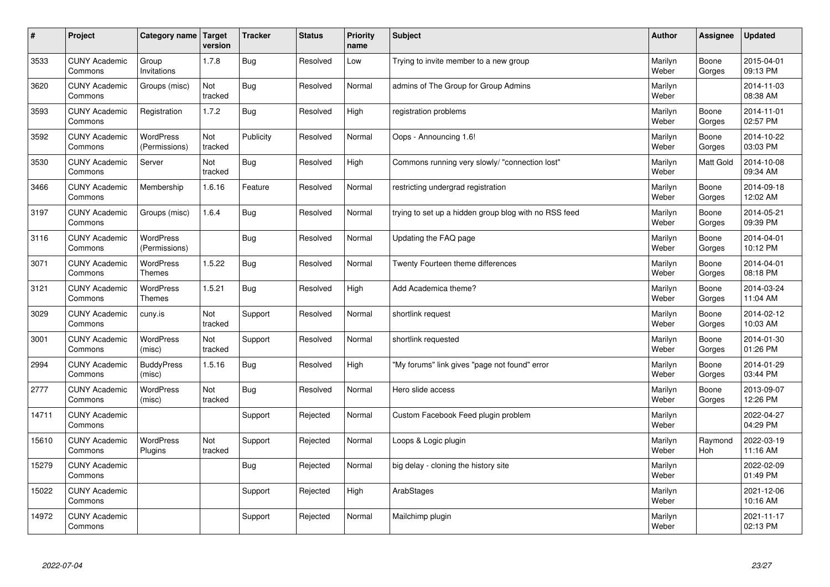| $\sharp$ | Project                         | Category name   Target            | version        | <b>Tracker</b> | <b>Status</b> | Priority<br>name | <b>Subject</b>                                        | <b>Author</b>    | <b>Assignee</b>  | <b>Updated</b>         |
|----------|---------------------------------|-----------------------------------|----------------|----------------|---------------|------------------|-------------------------------------------------------|------------------|------------------|------------------------|
| 3533     | <b>CUNY Academic</b><br>Commons | Group<br>Invitations              | 1.7.8          | Bug            | Resolved      | Low              | Trying to invite member to a new group                | Marilyn<br>Weber | Boone<br>Gorges  | 2015-04-01<br>09:13 PM |
| 3620     | <b>CUNY Academic</b><br>Commons | Groups (misc)                     | Not<br>tracked | Bug            | Resolved      | Normal           | admins of The Group for Group Admins                  | Marilyn<br>Weber |                  | 2014-11-03<br>08:38 AM |
| 3593     | <b>CUNY Academic</b><br>Commons | Registration                      | 1.7.2          | Bug            | Resolved      | High             | registration problems                                 | Marilyn<br>Weber | Boone<br>Gorges  | 2014-11-01<br>02:57 PM |
| 3592     | <b>CUNY Academic</b><br>Commons | WordPress<br>(Permissions)        | Not<br>tracked | Publicity      | Resolved      | Normal           | Oops - Announcing 1.6!                                | Marilyn<br>Weber | Boone<br>Gorges  | 2014-10-22<br>03:03 PM |
| 3530     | <b>CUNY Academic</b><br>Commons | Server                            | Not<br>tracked | Bug            | Resolved      | High             | Commons running very slowly/ "connection lost"        | Marilyn<br>Weber | <b>Matt Gold</b> | 2014-10-08<br>09:34 AM |
| 3466     | <b>CUNY Academic</b><br>Commons | Membership                        | 1.6.16         | Feature        | Resolved      | Normal           | restricting undergrad registration                    | Marilyn<br>Weber | Boone<br>Gorges  | 2014-09-18<br>12:02 AM |
| 3197     | <b>CUNY Academic</b><br>Commons | Groups (misc)                     | 1.6.4          | Bug            | Resolved      | Normal           | trying to set up a hidden group blog with no RSS feed | Marilyn<br>Weber | Boone<br>Gorges  | 2014-05-21<br>09:39 PM |
| 3116     | <b>CUNY Academic</b><br>Commons | WordPress<br>(Permissions)        |                | Bug            | Resolved      | Normal           | Updating the FAQ page                                 | Marilyn<br>Weber | Boone<br>Gorges  | 2014-04-01<br>10:12 PM |
| 3071     | <b>CUNY Academic</b><br>Commons | <b>WordPress</b><br><b>Themes</b> | 1.5.22         | <b>Bug</b>     | Resolved      | Normal           | Twenty Fourteen theme differences                     | Marilyn<br>Weber | Boone<br>Gorges  | 2014-04-01<br>08:18 PM |
| 3121     | <b>CUNY Academic</b><br>Commons | <b>WordPress</b><br><b>Themes</b> | 1.5.21         | <b>Bug</b>     | Resolved      | High             | Add Academica theme?                                  | Marilyn<br>Weber | Boone<br>Gorges  | 2014-03-24<br>11:04 AM |
| 3029     | <b>CUNY Academic</b><br>Commons | cuny.is                           | Not<br>tracked | Support        | Resolved      | Normal           | shortlink request                                     | Marilyn<br>Weber | Boone<br>Gorges  | 2014-02-12<br>10:03 AM |
| 3001     | <b>CUNY Academic</b><br>Commons | WordPress<br>(misc)               | Not<br>tracked | Support        | Resolved      | Normal           | shortlink requested                                   | Marilyn<br>Weber | Boone<br>Gorges  | 2014-01-30<br>01:26 PM |
| 2994     | <b>CUNY Academic</b><br>Commons | <b>BuddyPress</b><br>(misc)       | 1.5.16         | Bug            | Resolved      | High             | "My forums" link gives "page not found" error         | Marilyn<br>Weber | Boone<br>Gorges  | 2014-01-29<br>03:44 PM |
| 2777     | <b>CUNY Academic</b><br>Commons | WordPress<br>(misc)               | Not<br>tracked | Bug            | Resolved      | Normal           | Hero slide access                                     | Marilyn<br>Weber | Boone<br>Gorges  | 2013-09-07<br>12:26 PM |
| 14711    | <b>CUNY Academic</b><br>Commons |                                   |                | Support        | Rejected      | Normal           | Custom Facebook Feed plugin problem                   | Marilyn<br>Weber |                  | 2022-04-27<br>04:29 PM |
| 15610    | <b>CUNY Academic</b><br>Commons | <b>WordPress</b><br>Plugins       | Not<br>tracked | Support        | Rejected      | Normal           | Loops & Logic plugin                                  | Marilyn<br>Weber | Raymond<br>Hoh   | 2022-03-19<br>11:16 AM |
| 15279    | <b>CUNY Academic</b><br>Commons |                                   |                | Bug            | Rejected      | Normal           | big delay - cloning the history site                  | Marilyn<br>Weber |                  | 2022-02-09<br>01:49 PM |
| 15022    | <b>CUNY Academic</b><br>Commons |                                   |                | Support        | Rejected      | High             | ArabStages                                            | Marilyn<br>Weber |                  | 2021-12-06<br>10:16 AM |
| 14972    | <b>CUNY Academic</b><br>Commons |                                   |                | Support        | Rejected      | Normal           | Mailchimp plugin                                      | Marilyn<br>Weber |                  | 2021-11-17<br>02:13 PM |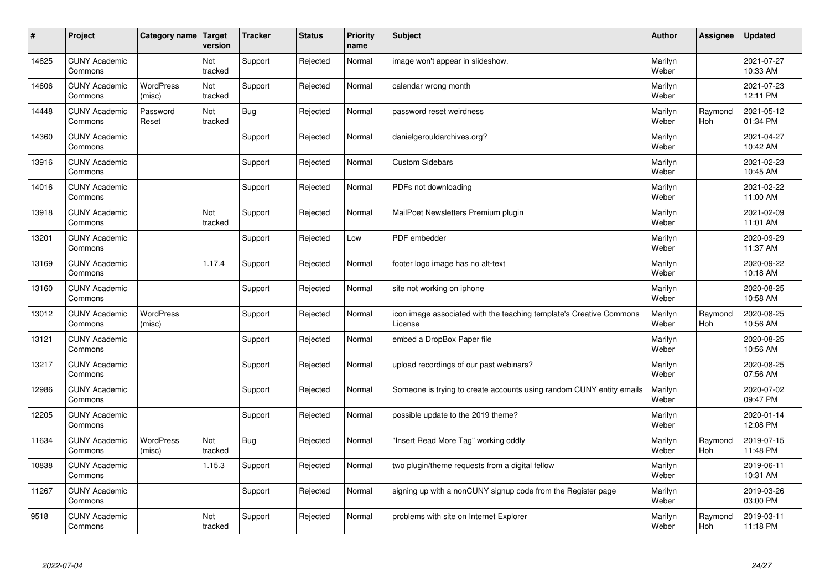| $\sharp$ | Project                         | Category name   Target     | version        | <b>Tracker</b> | <b>Status</b> | <b>Priority</b><br>name | <b>Subject</b>                                                                 | <b>Author</b>    | <b>Assignee</b>       | <b>Updated</b>         |
|----------|---------------------------------|----------------------------|----------------|----------------|---------------|-------------------------|--------------------------------------------------------------------------------|------------------|-----------------------|------------------------|
| 14625    | <b>CUNY Academic</b><br>Commons |                            | Not<br>tracked | Support        | Rejected      | Normal                  | image won't appear in slideshow.                                               | Marilyn<br>Weber |                       | 2021-07-27<br>10:33 AM |
| 14606    | <b>CUNY Academic</b><br>Commons | <b>WordPress</b><br>(misc) | Not<br>tracked | Support        | Rejected      | Normal                  | calendar wrong month                                                           | Marilyn<br>Weber |                       | 2021-07-23<br>12:11 PM |
| 14448    | <b>CUNY Academic</b><br>Commons | Password<br>Reset          | Not<br>tracked | Bug            | Rejected      | Normal                  | password reset weirdness                                                       | Marilyn<br>Weber | Raymond<br><b>Hoh</b> | 2021-05-12<br>01:34 PM |
| 14360    | <b>CUNY Academic</b><br>Commons |                            |                | Support        | Rejected      | Normal                  | danielgerouldarchives.org?                                                     | Marilyn<br>Weber |                       | 2021-04-27<br>10:42 AM |
| 13916    | <b>CUNY Academic</b><br>Commons |                            |                | Support        | Rejected      | Normal                  | <b>Custom Sidebars</b>                                                         | Marilyn<br>Weber |                       | 2021-02-23<br>10:45 AM |
| 14016    | <b>CUNY Academic</b><br>Commons |                            |                | Support        | Rejected      | Normal                  | PDFs not downloading                                                           | Marilyn<br>Weber |                       | 2021-02-22<br>11:00 AM |
| 13918    | <b>CUNY Academic</b><br>Commons |                            | Not<br>tracked | Support        | Rejected      | Normal                  | MailPoet Newsletters Premium plugin                                            | Marilyn<br>Weber |                       | 2021-02-09<br>11:01 AM |
| 13201    | <b>CUNY Academic</b><br>Commons |                            |                | Support        | Rejected      | Low                     | PDF embedder                                                                   | Marilyn<br>Weber |                       | 2020-09-29<br>11:37 AM |
| 13169    | <b>CUNY Academic</b><br>Commons |                            | 1.17.4         | Support        | Rejected      | Normal                  | footer logo image has no alt-text                                              | Marilyn<br>Weber |                       | 2020-09-22<br>10:18 AM |
| 13160    | <b>CUNY Academic</b><br>Commons |                            |                | Support        | Rejected      | Normal                  | site not working on iphone                                                     | Marilyn<br>Weber |                       | 2020-08-25<br>10:58 AM |
| 13012    | <b>CUNY Academic</b><br>Commons | <b>WordPress</b><br>(misc) |                | Support        | Rejected      | Normal                  | icon image associated with the teaching template's Creative Commons<br>License | Marilyn<br>Weber | Raymond<br>Hoh        | 2020-08-25<br>10:56 AM |
| 13121    | <b>CUNY Academic</b><br>Commons |                            |                | Support        | Rejected      | Normal                  | embed a DropBox Paper file                                                     | Marilyn<br>Weber |                       | 2020-08-25<br>10:56 AM |
| 13217    | <b>CUNY Academic</b><br>Commons |                            |                | Support        | Rejected      | Normal                  | upload recordings of our past webinars?                                        | Marilyn<br>Weber |                       | 2020-08-25<br>07:56 AM |
| 12986    | <b>CUNY Academic</b><br>Commons |                            |                | Support        | Rejected      | Normal                  | Someone is trying to create accounts using random CUNY entity emails           | Marilyn<br>Weber |                       | 2020-07-02<br>09:47 PM |
| 12205    | <b>CUNY Academic</b><br>Commons |                            |                | Support        | Rejected      | Normal                  | possible update to the 2019 theme?                                             | Marilyn<br>Weber |                       | 2020-01-14<br>12:08 PM |
| 11634    | <b>CUNY Academic</b><br>Commons | <b>WordPress</b><br>(misc) | Not<br>tracked | Bug            | Rejected      | Normal                  | "Insert Read More Tag" working oddly                                           | Marilyn<br>Weber | Raymond<br><b>Hoh</b> | 2019-07-15<br>11:48 PM |
| 10838    | <b>CUNY Academic</b><br>Commons |                            | 1.15.3         | Support        | Rejected      | Normal                  | two plugin/theme requests from a digital fellow                                | Marilyn<br>Weber |                       | 2019-06-11<br>10:31 AM |
| 11267    | <b>CUNY Academic</b><br>Commons |                            |                | Support        | Rejected      | Normal                  | signing up with a nonCUNY signup code from the Register page                   | Marilyn<br>Weber |                       | 2019-03-26<br>03:00 PM |
| 9518     | <b>CUNY Academic</b><br>Commons |                            | Not<br>tracked | Support        | Rejected      | Normal                  | problems with site on Internet Explorer                                        | Marilyn<br>Weber | Raymond<br>Hoh        | 2019-03-11<br>11:18 PM |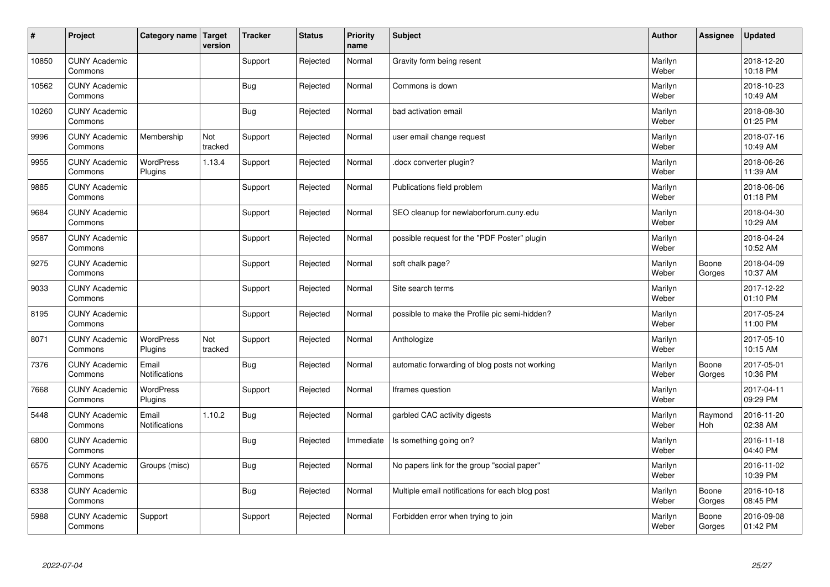| $\pmb{\#}$ | Project                         | Category name               | Target<br>version | <b>Tracker</b> | <b>Status</b> | <b>Priority</b><br>name | <b>Subject</b>                                  | <b>Author</b>    | Assignee        | <b>Updated</b>         |
|------------|---------------------------------|-----------------------------|-------------------|----------------|---------------|-------------------------|-------------------------------------------------|------------------|-----------------|------------------------|
| 10850      | <b>CUNY Academic</b><br>Commons |                             |                   | Support        | Rejected      | Normal                  | Gravity form being resent                       | Marilyn<br>Weber |                 | 2018-12-20<br>10:18 PM |
| 10562      | <b>CUNY Academic</b><br>Commons |                             |                   | <b>Bug</b>     | Rejected      | Normal                  | Commons is down                                 | Marilyn<br>Weber |                 | 2018-10-23<br>10:49 AM |
| 10260      | <b>CUNY Academic</b><br>Commons |                             |                   | Bug            | Rejected      | Normal                  | bad activation email                            | Marilyn<br>Weber |                 | 2018-08-30<br>01:25 PM |
| 9996       | <b>CUNY Academic</b><br>Commons | Membership                  | Not<br>tracked    | Support        | Rejected      | Normal                  | user email change request                       | Marilyn<br>Weber |                 | 2018-07-16<br>10:49 AM |
| 9955       | <b>CUNY Academic</b><br>Commons | <b>WordPress</b><br>Plugins | 1.13.4            | Support        | Rejected      | Normal                  | docx converter plugin?                          | Marilyn<br>Weber |                 | 2018-06-26<br>11:39 AM |
| 9885       | <b>CUNY Academic</b><br>Commons |                             |                   | Support        | Rejected      | Normal                  | Publications field problem                      | Marilyn<br>Weber |                 | 2018-06-06<br>01:18 PM |
| 9684       | <b>CUNY Academic</b><br>Commons |                             |                   | Support        | Rejected      | Normal                  | SEO cleanup for newlaborforum.cuny.edu          | Marilyn<br>Weber |                 | 2018-04-30<br>10:29 AM |
| 9587       | <b>CUNY Academic</b><br>Commons |                             |                   | Support        | Rejected      | Normal                  | possible request for the "PDF Poster" plugin    | Marilyn<br>Weber |                 | 2018-04-24<br>10:52 AM |
| 9275       | <b>CUNY Academic</b><br>Commons |                             |                   | Support        | Rejected      | Normal                  | soft chalk page?                                | Marilyn<br>Weber | Boone<br>Gorges | 2018-04-09<br>10:37 AM |
| 9033       | <b>CUNY Academic</b><br>Commons |                             |                   | Support        | Rejected      | Normal                  | Site search terms                               | Marilyn<br>Weber |                 | 2017-12-22<br>01:10 PM |
| 8195       | <b>CUNY Academic</b><br>Commons |                             |                   | Support        | Rejected      | Normal                  | possible to make the Profile pic semi-hidden?   | Marilyn<br>Weber |                 | 2017-05-24<br>11:00 PM |
| 8071       | <b>CUNY Academic</b><br>Commons | <b>WordPress</b><br>Plugins | Not<br>tracked    | Support        | Rejected      | Normal                  | Anthologize                                     | Marilyn<br>Weber |                 | 2017-05-10<br>10:15 AM |
| 7376       | <b>CUNY Academic</b><br>Commons | Email<br>Notifications      |                   | Bug            | Rejected      | Normal                  | automatic forwarding of blog posts not working  | Marilyn<br>Weber | Boone<br>Gorges | 2017-05-01<br>10:36 PM |
| 7668       | <b>CUNY Academic</b><br>Commons | <b>WordPress</b><br>Plugins |                   | Support        | Rejected      | Normal                  | lframes question                                | Marilyn<br>Weber |                 | 2017-04-11<br>09:29 PM |
| 5448       | <b>CUNY Academic</b><br>Commons | Email<br>Notifications      | 1.10.2            | Bug            | Rejected      | Normal                  | garbled CAC activity digests                    | Marilyn<br>Weber | Raymond<br>Hoh  | 2016-11-20<br>02:38 AM |
| 6800       | <b>CUNY Academic</b><br>Commons |                             |                   | Bug            | Rejected      | Immediate               | Is something going on?                          | Marilyn<br>Weber |                 | 2016-11-18<br>04:40 PM |
| 6575       | <b>CUNY Academic</b><br>Commons | Groups (misc)               |                   | <b>Bug</b>     | Rejected      | Normal                  | No papers link for the group "social paper"     | Marilyn<br>Weber |                 | 2016-11-02<br>10:39 PM |
| 6338       | <b>CUNY Academic</b><br>Commons |                             |                   | Bug            | Rejected      | Normal                  | Multiple email notifications for each blog post | Marilyn<br>Weber | Boone<br>Gorges | 2016-10-18<br>08:45 PM |
| 5988       | <b>CUNY Academic</b><br>Commons | Support                     |                   | Support        | Rejected      | Normal                  | Forbidden error when trying to join             | Marilyn<br>Weber | Boone<br>Gorges | 2016-09-08<br>01:42 PM |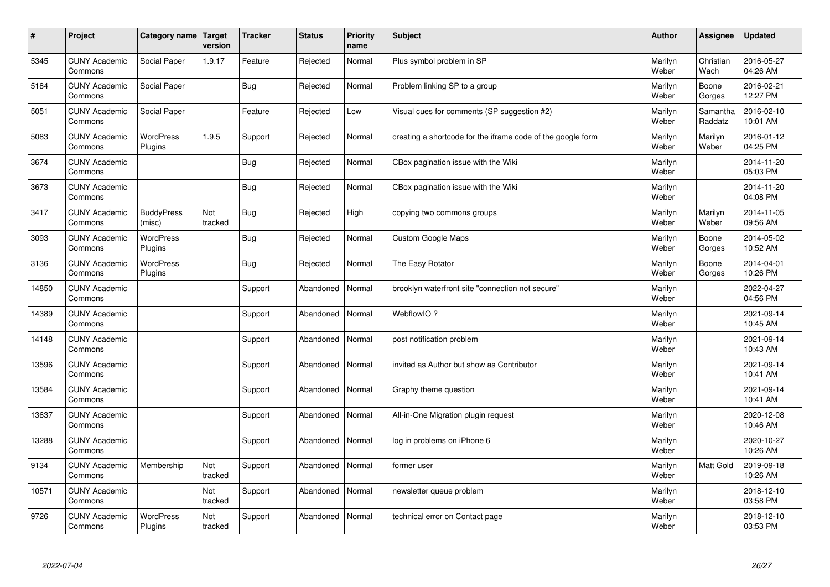| $\vert$ # | Project                         | Category name               | Target<br>version | <b>Tracker</b> | <b>Status</b> | <b>Priority</b><br>name | <b>Subject</b>                                              | <b>Author</b>    | <b>Assignee</b>     | <b>Updated</b>         |
|-----------|---------------------------------|-----------------------------|-------------------|----------------|---------------|-------------------------|-------------------------------------------------------------|------------------|---------------------|------------------------|
| 5345      | <b>CUNY Academic</b><br>Commons | Social Paper                | 1.9.17            | Feature        | Rejected      | Normal                  | Plus symbol problem in SP                                   | Marilyn<br>Weber | Christian<br>Wach   | 2016-05-27<br>04:26 AM |
| 5184      | <b>CUNY Academic</b><br>Commons | Social Paper                |                   | Bug            | Rejected      | Normal                  | Problem linking SP to a group                               | Marilyn<br>Weber | Boone<br>Gorges     | 2016-02-21<br>12:27 PM |
| 5051      | <b>CUNY Academic</b><br>Commons | Social Paper                |                   | Feature        | Rejected      | Low                     | Visual cues for comments (SP suggestion #2)                 | Marilyn<br>Weber | Samantha<br>Raddatz | 2016-02-10<br>10:01 AM |
| 5083      | <b>CUNY Academic</b><br>Commons | <b>WordPress</b><br>Plugins | 1.9.5             | Support        | Rejected      | Normal                  | creating a shortcode for the iframe code of the google form | Marilyn<br>Weber | Marilyn<br>Weber    | 2016-01-12<br>04:25 PM |
| 3674      | <b>CUNY Academic</b><br>Commons |                             |                   | Bug            | Rejected      | Normal                  | CBox pagination issue with the Wiki                         | Marilyn<br>Weber |                     | 2014-11-20<br>05:03 PM |
| 3673      | <b>CUNY Academic</b><br>Commons |                             |                   | Bug            | Rejected      | Normal                  | CBox pagination issue with the Wiki                         | Marilyn<br>Weber |                     | 2014-11-20<br>04:08 PM |
| 3417      | <b>CUNY Academic</b><br>Commons | <b>BuddyPress</b><br>(misc) | Not<br>tracked    | Bug            | Rejected      | High                    | copying two commons groups                                  | Marilyn<br>Weber | Marilyn<br>Weber    | 2014-11-05<br>09:56 AM |
| 3093      | <b>CUNY Academic</b><br>Commons | WordPress<br>Plugins        |                   | Bug            | Rejected      | Normal                  | <b>Custom Google Maps</b>                                   | Marilyn<br>Weber | Boone<br>Gorges     | 2014-05-02<br>10:52 AM |
| 3136      | <b>CUNY Academic</b><br>Commons | <b>WordPress</b><br>Plugins |                   | Bug            | Rejected      | Normal                  | The Easy Rotator                                            | Marilyn<br>Weber | Boone<br>Gorges     | 2014-04-01<br>10:26 PM |
| 14850     | <b>CUNY Academic</b><br>Commons |                             |                   | Support        | Abandoned     | Normal                  | brooklyn waterfront site "connection not secure"            | Marilyn<br>Weber |                     | 2022-04-27<br>04:56 PM |
| 14389     | <b>CUNY Academic</b><br>Commons |                             |                   | Support        | Abandoned     | Normal                  | WebflowIO?                                                  | Marilyn<br>Weber |                     | 2021-09-14<br>10:45 AM |
| 14148     | <b>CUNY Academic</b><br>Commons |                             |                   | Support        | Abandoned     | Normal                  | post notification problem                                   | Marilyn<br>Weber |                     | 2021-09-14<br>10:43 AM |
| 13596     | <b>CUNY Academic</b><br>Commons |                             |                   | Support        | Abandoned     | Normal                  | invited as Author but show as Contributor                   | Marilyn<br>Weber |                     | 2021-09-14<br>10:41 AM |
| 13584     | <b>CUNY Academic</b><br>Commons |                             |                   | Support        | Abandoned     | Normal                  | Graphy theme question                                       | Marilyn<br>Weber |                     | 2021-09-14<br>10:41 AM |
| 13637     | <b>CUNY Academic</b><br>Commons |                             |                   | Support        | Abandoned     | Normal                  | All-in-One Migration plugin request                         | Marilyn<br>Weber |                     | 2020-12-08<br>10:46 AM |
| 13288     | <b>CUNY Academic</b><br>Commons |                             |                   | Support        | Abandoned     | Normal                  | log in problems on iPhone 6                                 | Marilyn<br>Weber |                     | 2020-10-27<br>10:26 AM |
| 9134      | <b>CUNY Academic</b><br>Commons | Membership                  | Not<br>tracked    | Support        | Abandoned     | Normal                  | former user                                                 | Marilyn<br>Weber | Matt Gold           | 2019-09-18<br>10:26 AM |
| 10571     | <b>CUNY Academic</b><br>Commons |                             | Not<br>tracked    | Support        | Abandoned     | Normal                  | newsletter queue problem                                    | Marilyn<br>Weber |                     | 2018-12-10<br>03:58 PM |
| 9726      | <b>CUNY Academic</b><br>Commons | <b>WordPress</b><br>Plugins | Not<br>tracked    | Support        | Abandoned     | Normal                  | technical error on Contact page                             | Marilyn<br>Weber |                     | 2018-12-10<br>03:53 PM |